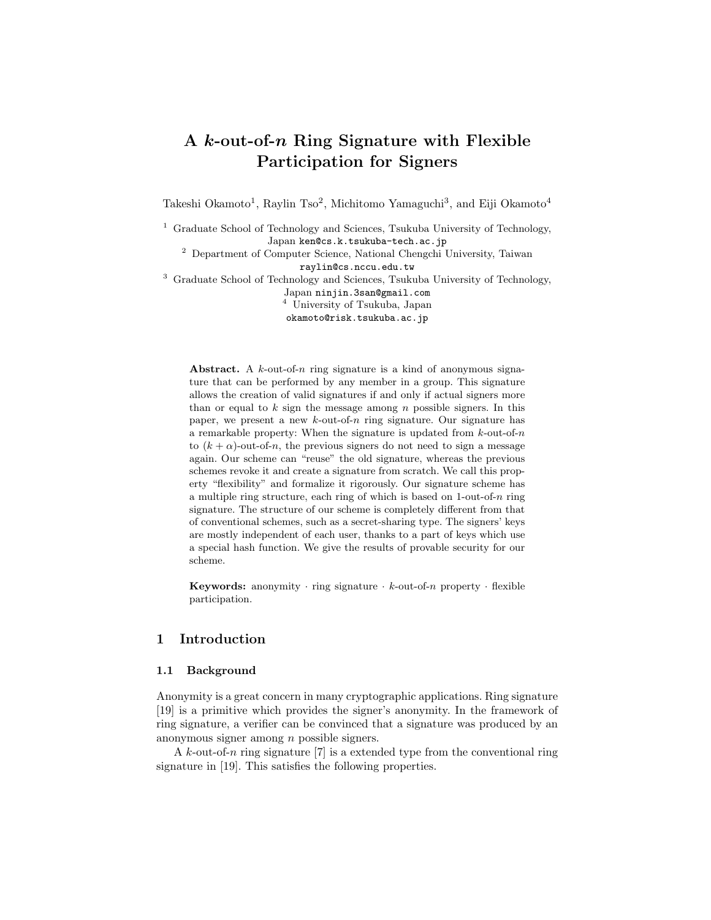# A k-out-of-n Ring Signature with Flexible Participation for Signers

Takeshi Okamoto<sup>1</sup>, Raylin Tso<sup>2</sup>, Michitomo Yamaguchi<sup>3</sup>, and Eiji Okamoto<sup>4</sup>

<sup>1</sup> Graduate School of Technology and Sciences, Tsukuba University of Technology, Japan ken@cs.k.tsukuba-tech.ac.jp

<sup>2</sup> Department of Computer Science, National Chengchi University, Taiwan raylin@cs.nccu.edu.tw

<sup>3</sup> Graduate School of Technology and Sciences, Tsukuba University of Technology,

Japan ninjin.3san@gmail.com

<sup>4</sup> University of Tsukuba, Japan

okamoto@risk.tsukuba.ac.jp

Abstract. A  $k$ -out-of-n ring signature is a kind of anonymous signature that can be performed by any member in a group. This signature allows the creation of valid signatures if and only if actual signers more than or equal to  $k$  sign the message among  $n$  possible signers. In this paper, we present a new  $k$ -out-of-n ring signature. Our signature has a remarkable property: When the signature is updated from  $k$ -out-of- $n$ to  $(k + \alpha)$ -out-of-n, the previous signers do not need to sign a message again. Our scheme can "reuse" the old signature, whereas the previous schemes revoke it and create a signature from scratch. We call this property "flexibility" and formalize it rigorously. Our signature scheme has a multiple ring structure, each ring of which is based on  $1$ -out-of-n ring signature. The structure of our scheme is completely different from that of conventional schemes, such as a secret-sharing type. The signers' keys are mostly independent of each user, thanks to a part of keys which use a special hash function. We give the results of provable security for our scheme.

Keywords: anonymity  $\cdot$  ring signature  $\cdot$  k-out-of-n property  $\cdot$  flexible participation.

# 1 Introduction

#### 1.1 Background

Anonymity is a great concern in many cryptographic applications. Ring signature [19] is a primitive which provides the signer's anonymity. In the framework of ring signature, a verifier can be convinced that a signature was produced by an anonymous signer among n possible signers.

A k-out-of-n ring signature [7] is a extended type from the conventional ring signature in [19]. This satisfies the following properties.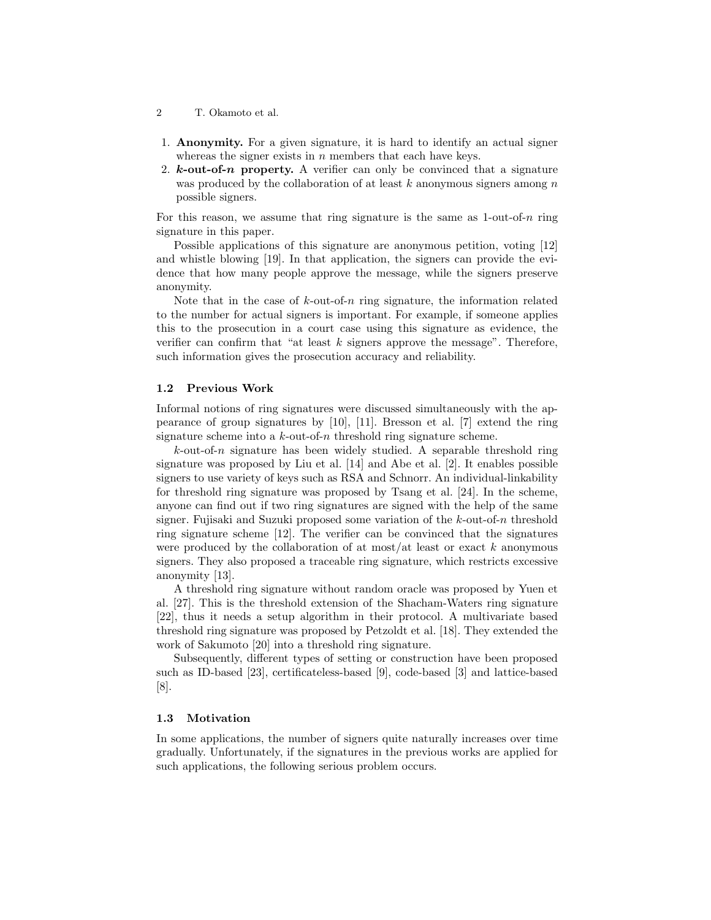- 2 T. Okamoto et al.
- 1. Anonymity. For a given signature, it is hard to identify an actual signer whereas the signer exists in  $n$  members that each have keys.
- 2.  $k$ -out-of-n property. A verifier can only be convinced that a signature was produced by the collaboration of at least  $k$  anonymous signers among  $n$ possible signers.

For this reason, we assume that ring signature is the same as  $1$ -out-of-n ring signature in this paper.

Possible applications of this signature are anonymous petition, voting [12] and whistle blowing [19]. In that application, the signers can provide the evidence that how many people approve the message, while the signers preserve anonymity.

Note that in the case of  $k$ -out-of-n ring signature, the information related to the number for actual signers is important. For example, if someone applies this to the prosecution in a court case using this signature as evidence, the verifier can confirm that "at least  $k$  signers approve the message". Therefore, such information gives the prosecution accuracy and reliability.

#### 1.2 Previous Work

Informal notions of ring signatures were discussed simultaneously with the appearance of group signatures by [10], [11]. Bresson et al. [7] extend the ring signature scheme into a  $k$ -out-of-n threshold ring signature scheme.

 $k$ -out-of-n signature has been widely studied. A separable threshold ring signature was proposed by Liu et al. [14] and Abe et al. [2]. It enables possible signers to use variety of keys such as RSA and Schnorr. An individual-linkability for threshold ring signature was proposed by Tsang et al. [24]. In the scheme, anyone can find out if two ring signatures are signed with the help of the same signer. Fujisaki and Suzuki proposed some variation of the k-out-of-n threshold ring signature scheme [12]. The verifier can be convinced that the signatures were produced by the collaboration of at most/at least or exact  $k$  anonymous signers. They also proposed a traceable ring signature, which restricts excessive anonymity [13].

A threshold ring signature without random oracle was proposed by Yuen et al. [27]. This is the threshold extension of the Shacham-Waters ring signature [22], thus it needs a setup algorithm in their protocol. A multivariate based threshold ring signature was proposed by Petzoldt et al. [18]. They extended the work of Sakumoto [20] into a threshold ring signature.

Subsequently, different types of setting or construction have been proposed such as ID-based [23], certificateless-based [9], code-based [3] and lattice-based [8].

# 1.3 Motivation

In some applications, the number of signers quite naturally increases over time gradually. Unfortunately, if the signatures in the previous works are applied for such applications, the following serious problem occurs.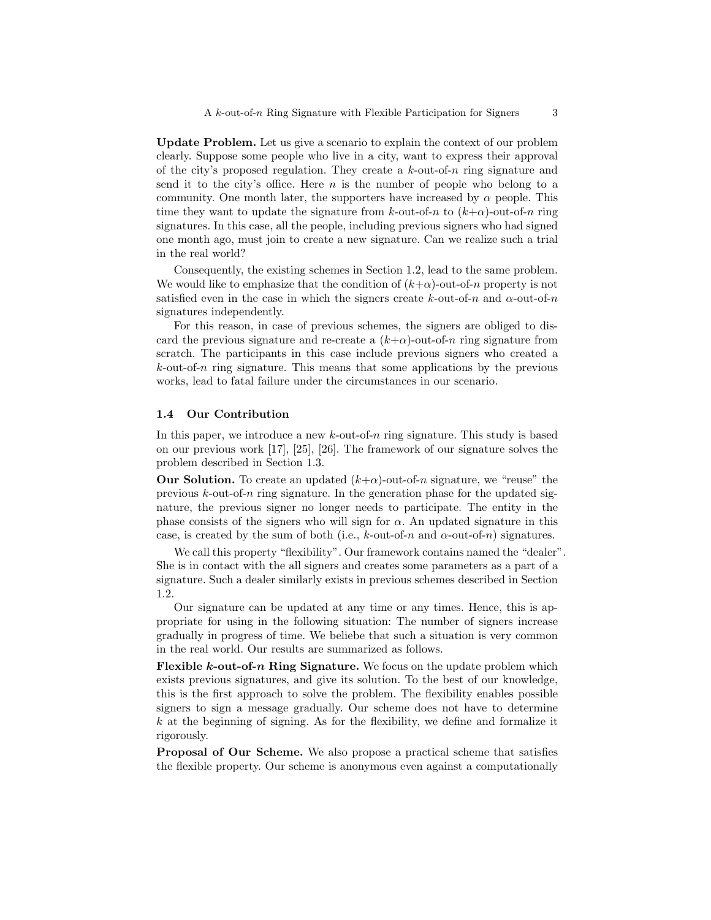Update Problem. Let us give a scenario to explain the context of our problem clearly. Suppose some people who live in a city, want to express their approval of the city's proposed regulation. They create a  $k$ -out-of-n ring signature and send it to the city's office. Here  $n$  is the number of people who belong to a community. One month later, the supporters have increased by  $\alpha$  people. This time they want to update the signature from k-out-of-n to  $(k+\alpha)$ -out-of-n ring signatures. In this case, all the people, including previous signers who had signed one month ago, must join to create a new signature. Can we realize such a trial in the real world?

Consequently, the existing schemes in Section 1.2, lead to the same problem. We would like to emphasize that the condition of  $(k+\alpha)$ -out-of-n property is not satisfied even in the case in which the signers create k-out-of-n and  $\alpha$ -out-of-n signatures independently.

For this reason, in case of previous schemes, the signers are obliged to discard the previous signature and re-create a  $(k+\alpha)$ -out-of-n ring signature from scratch. The participants in this case include previous signers who created a  $k$ -out-of- $n$  ring signature. This means that some applications by the previous works, lead to fatal failure under the circumstances in our scenario.

# 1.4 Our Contribution

In this paper, we introduce a new  $k$ -out-of- $n$  ring signature. This study is based on our previous work [17], [25], [26]. The framework of our signature solves the problem described in Section 1.3.

**Our Solution.** To create an updated  $(k+\alpha)$ -out-of-n signature, we "reuse" the previous  $k$ -out-of-n ring signature. In the generation phase for the updated signature, the previous signer no longer needs to participate. The entity in the phase consists of the signers who will sign for  $\alpha$ . An updated signature in this case, is created by the sum of both (i.e., k-out-of-n and  $\alpha$ -out-of-n) signatures.

We call this property "flexibility". Our framework contains named the "dealer". She is in contact with the all signers and creates some parameters as a part of a signature. Such a dealer similarly exists in previous schemes described in Section 1.2.

Our signature can be updated at any time or any times. Hence, this is appropriate for using in the following situation: The number of signers increase gradually in progress of time. We beliebe that such a situation is very common in the real world. Our results are summarized as follows.

**Flexible k-out-of-n Ring Signature.** We focus on the update problem which exists previous signatures, and give its solution. To the best of our knowledge, this is the first approach to solve the problem. The flexibility enables possible signers to sign a message gradually. Our scheme does not have to determine  $k$  at the beginning of signing. As for the flexibility, we define and formalize it rigorously.

Proposal of Our Scheme. We also propose a practical scheme that satisfies the flexible property. Our scheme is anonymous even against a computationally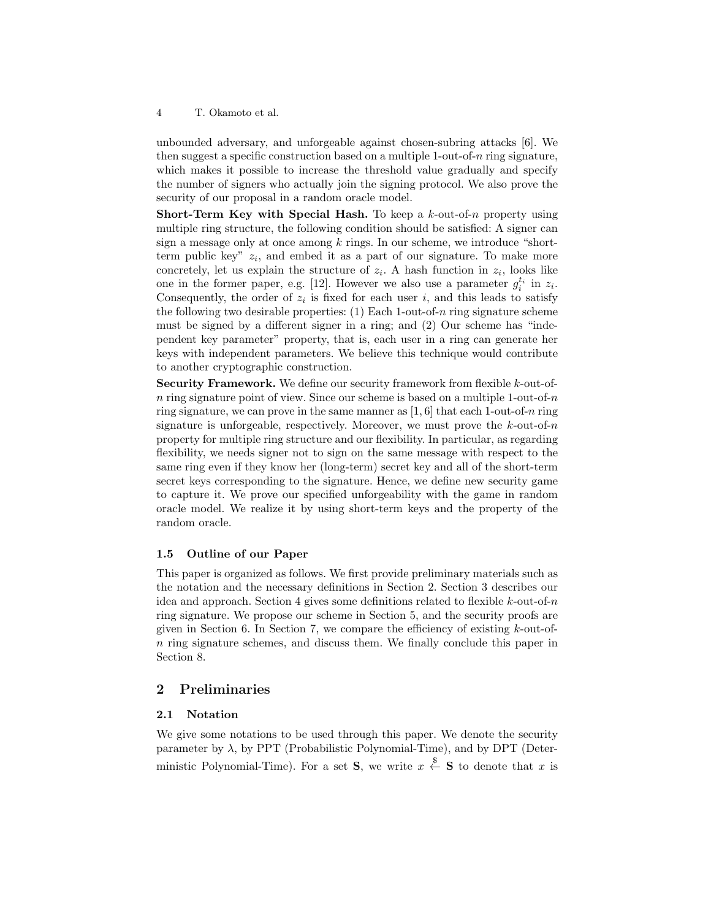unbounded adversary, and unforgeable against chosen-subring attacks [6]. We then suggest a specific construction based on a multiple 1-out-of- $n$  ring signature, which makes it possible to increase the threshold value gradually and specify the number of signers who actually join the signing protocol. We also prove the security of our proposal in a random oracle model.

**Short-Term Key with Special Hash.** To keep a  $k$ -out-of-n property using multiple ring structure, the following condition should be satisfied: A signer can sign a message only at once among  $k$  rings. In our scheme, we introduce "shortterm public key"  $z_i$ , and embed it as a part of our signature. To make more concretely, let us explain the structure of  $z_i$ . A hash function in  $z_i$ , looks like one in the former paper, e.g. [12]. However we also use a parameter  $g_i^{t_i}$  in  $z_i$ . Consequently, the order of  $z_i$  is fixed for each user i, and this leads to satisfy the following two desirable properties:  $(1)$  Each 1-out-of-n ring signature scheme must be signed by a different signer in a ring; and (2) Our scheme has "independent key parameter" property, that is, each user in a ring can generate her keys with independent parameters. We believe this technique would contribute to another cryptographic construction.

Security Framework. We define our security framework from flexible k-out-ofn ring signature point of view. Since our scheme is based on a multiple 1-out-of-n ring signature, we can prove in the same manner as  $[1, 6]$  that each 1-out-of-n ring signature is unforgeable, respectively. Moreover, we must prove the  $k$ -out-of-n property for multiple ring structure and our flexibility. In particular, as regarding flexibility, we needs signer not to sign on the same message with respect to the same ring even if they know her (long-term) secret key and all of the short-term secret keys corresponding to the signature. Hence, we define new security game to capture it. We prove our specified unforgeability with the game in random oracle model. We realize it by using short-term keys and the property of the random oracle.

### 1.5 Outline of our Paper

This paper is organized as follows. We first provide preliminary materials such as the notation and the necessary definitions in Section 2. Section 3 describes our idea and approach. Section 4 gives some definitions related to flexible  $k$ -out-of-n ring signature. We propose our scheme in Section 5, and the security proofs are given in Section 6. In Section 7, we compare the efficiency of existing  $k$ -out-ofn ring signature schemes, and discuss them. We finally conclude this paper in Section 8.

# 2 Preliminaries

#### 2.1 Notation

We give some notations to be used through this paper. We denote the security parameter by  $\lambda$ , by PPT (Probabilistic Polynomial-Time), and by DPT (Deterministic Polynomial-Time). For a set **S**, we write  $x \stackrel{\$}{\leftarrow}$  **S** to denote that x is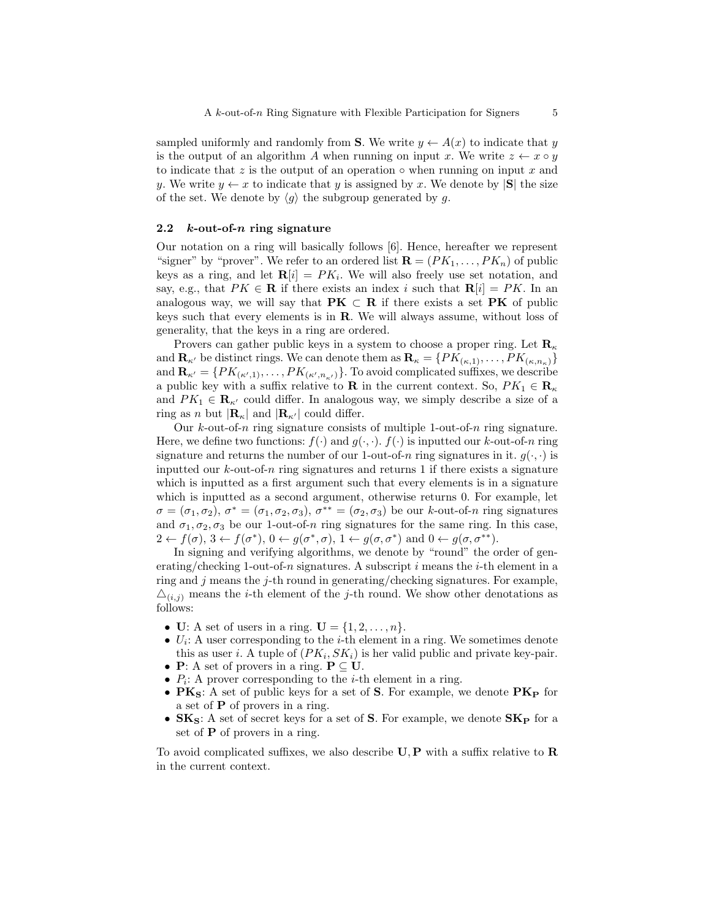sampled uniformly and randomly from **S**. We write  $y \leftarrow A(x)$  to indicate that y is the output of an algorithm A when running on input x. We write  $z \leftarrow x \circ y$ to indicate that z is the output of an operation  $\circ$  when running on input x and y. We write  $y \leftarrow x$  to indicate that y is assigned by x. We denote by  $|\mathbf{S}|$  the size of the set. We denote by  $\langle q \rangle$  the subgroup generated by g.

#### 2.2  $k$ -out-of-n ring signature

Our notation on a ring will basically follows [6]. Hence, hereafter we represent "signer" by "prover". We refer to an ordered list  $\mathbf{R} = (PK_1, \ldots, PK_n)$  of public keys as a ring, and let  $\mathbf{R}[i] = PK_i$ . We will also freely use set notation, and say, e.g., that  $PK \in \mathbf{R}$  if there exists an index i such that  $\mathbf{R}[i] = PK$ . In an analogous way, we will say that  $\mathbf{P}K \subset \mathbf{R}$  if there exists a set  $\mathbf{P}K$  of public keys such that every elements is in R. We will always assume, without loss of generality, that the keys in a ring are ordered.

Provers can gather public keys in a system to choose a proper ring. Let  $\mathbf{R}_{\kappa}$ and  $\mathbf{R}_{\kappa}$  be distinct rings. We can denote them as  $\mathbf{R}_{\kappa} = \{PK_{(\kappa,1)}, \ldots, PK_{(\kappa,n_{\kappa})}\}\$ and  $\mathbf{R}_{\kappa'} = \{PK_{(\kappa',1)}, \ldots, PK_{(\kappa',n_{\kappa'})}\}.$  To avoid complicated suffixes, we describe a public key with a suffix relative to **R** in the current context. So,  $PK_1 \in \mathbf{R}_{\kappa}$ and  $PK_1 \in \mathbf{R}_{\kappa'}$  could differ. In analogous way, we simply describe a size of a ring as n but  $|\mathbf{R}_{\kappa}|$  and  $|\mathbf{R}_{\kappa'}|$  could differ.

Our  $k$ -out-of-n ring signature consists of multiple 1-out-of-n ring signature. Here, we define two functions:  $f(\cdot)$  and  $g(\cdot, \cdot)$ .  $f(\cdot)$  is inputted our k-out-of-n ring signature and returns the number of our 1-out-of-n ring signatures in it.  $g(\cdot, \cdot)$  is inputted our  $k$ -out-of-n ring signatures and returns 1 if there exists a signature which is inputted as a first argument such that every elements is in a signature which is inputted as a second argument, otherwise returns 0. For example, let  $\sigma = (\sigma_1, \sigma_2), \sigma^* = (\sigma_1, \sigma_2, \sigma_3), \sigma^{**} = (\sigma_2, \sigma_3)$  be our k-out-of-n ring signatures and  $\sigma_1, \sigma_2, \sigma_3$  be our 1-out-of-n ring signatures for the same ring. In this case,  $2 \leftarrow f(\sigma), 3 \leftarrow f(\sigma^*), 0 \leftarrow g(\sigma^*, \sigma), 1 \leftarrow g(\sigma, \sigma^*) \text{ and } 0 \leftarrow g(\sigma, \sigma^{**}).$ 

In signing and verifying algorithms, we denote by "round" the order of generating/checking 1-out-of-n signatures. A subscript i means the i-th element in a ring and  $j$  means the  $j$ -th round in generating/checking signatures. For example,  $\Delta(i,j)$  means the *i*-th element of the *j*-th round. We show other denotations as follows:

- U: A set of users in a ring.  $\mathbf{U} = \{1, 2, \ldots, n\}.$
- $U_i$ : A user corresponding to the *i*-th element in a ring. We sometimes denote this as user *i*. A tuple of  $(PK_i, SK_i)$  is her valid public and private key-pair.
- **P**: A set of provers in a ring.  $P \subseteq U$ .
- $P_i$ : A prover corresponding to the *i*-th element in a ring.
- $PK<sub>S</sub>$ : A set of public keys for a set of S. For example, we denote  $PK<sub>P</sub>$  for a set of  $P$  of provers in a ring.
- $SK_S$ : A set of secret keys for a set of S. For example, we denote  $SK_P$  for a set of **P** of provers in a ring.

To avoid complicated suffixes, we also describe  $\mathbf{U}, \mathbf{P}$  with a suffix relative to  $\mathbf{R}$ in the current context.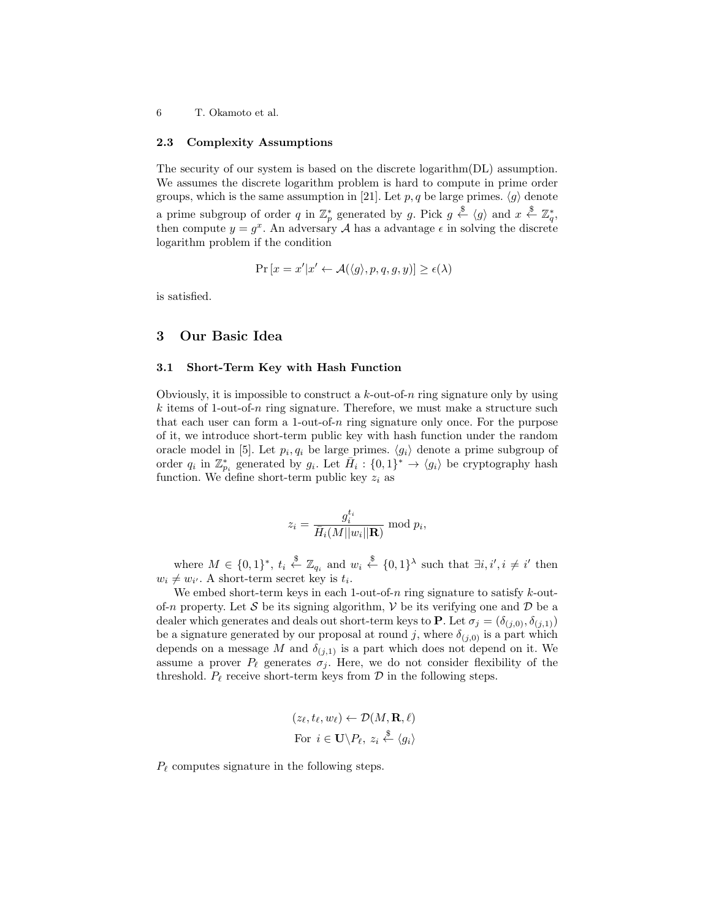#### 2.3 Complexity Assumptions

The security of our system is based on the discrete logarithm(DL) assumption. We assumes the discrete logarithm problem is hard to compute in prime order groups, which is the same assumption in [21]. Let p, q be large primes.  $\langle g \rangle$  denote a prime subgroup of order q in  $\mathbb{Z}_p^*$  generated by g. Pick  $g \stackrel{\$}{\leftarrow} \langle g \rangle$  and  $x \stackrel{\$}{\leftarrow} \mathbb{Z}_q^*$ , then compute  $y = g^x$ . An adversary A has a advantage  $\epsilon$  in solving the discrete logarithm problem if the condition

$$
\Pr[x = x'|x' \leftarrow \mathcal{A}(\langle g \rangle, p, q, g, y)] \ge \epsilon(\lambda)
$$

is satisfied.

### 3 Our Basic Idea

# 3.1 Short-Term Key with Hash Function

Obviously, it is impossible to construct a  $k$ -out-of-n ring signature only by using  $k$  items of 1-out-of-n ring signature. Therefore, we must make a structure such that each user can form a 1-out-of-n ring signature only once. For the purpose of it, we introduce short-term public key with hash function under the random oracle model in [5]. Let  $p_i, q_i$  be large primes.  $\langle g_i \rangle$  denote a prime subgroup of order  $q_i$  in  $\mathbb{Z}_{p_i}^*$  generated by  $g_i$ . Let  $\overline{H}_i: \{0,1\}^* \to \langle g_i \rangle$  be cryptography hash function. We define short-term public key  $z_i$  as

$$
z_i = \frac{g_i^{t_i}}{\overline{H}_i(M||w_i||\mathbf{R})} \bmod p_i,
$$

where  $M \in \{0,1\}^*$ ,  $t_i \stackrel{\$}{\leftarrow} \mathbb{Z}_{q_i}$  and  $w_i \stackrel{\$}{\leftarrow} \{0,1\}^{\lambda}$  such that  $\exists i, i', i \neq i'$  then  $w_i \neq w_{i'}$ . A short-term secret key is  $t_i$ .

We embed short-term keys in each 1-out-of- $n$  ring signature to satisfy  $k$ -outof-n property. Let S be its signing algorithm,  $V$  be its verifying one and  $D$  be a dealer which generates and deals out short-term keys to **P**. Let  $\sigma_i = (\delta_{(i,0)}, \delta_{(i,1)})$ be a signature generated by our proposal at round j, where  $\delta_{(j,0)}$  is a part which depends on a message M and  $\delta_{(j,1)}$  is a part which does not depend on it. We assume a prover  $P_\ell$  generates  $\sigma_j$ . Here, we do not consider flexibility of the threshold.  $P_\ell$  receive short-term keys from  $\mathcal D$  in the following steps.

$$
(z_{\ell}, t_{\ell}, w_{\ell}) \leftarrow \mathcal{D}(M, \mathbf{R}, \ell)
$$
  
For  $i \in \mathbf{U} \backslash P_{\ell}, z_i \stackrel{\$}{\leftarrow} \langle g_i \rangle$ 

 $P_{\ell}$  computes signature in the following steps.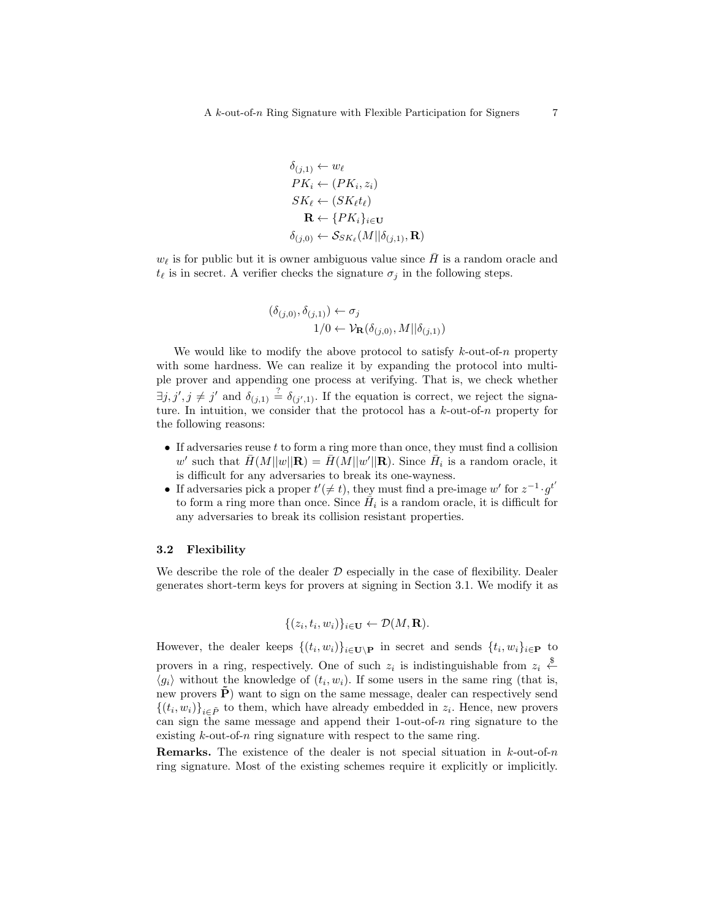$$
\delta_{(j,1)} \leftarrow w_{\ell}
$$
\n
$$
PK_i \leftarrow (PK_i, z_i)
$$
\n
$$
SK_{\ell} \leftarrow (SK_{\ell}t_{\ell})
$$
\n
$$
\mathbf{R} \leftarrow \{PK_i\}_{i \in \mathbf{U}}
$$
\n
$$
\delta_{(j,0)} \leftarrow S_{SK_{\ell}}(M || \delta_{(j,1)}, \mathbf{R})
$$

 $w_{\ell}$  is for public but it is owner ambiguous value since  $\bar{H}$  is a random oracle and  $t_{\ell}$  is in secret. A verifier checks the signature  $\sigma_j$  in the following steps.

$$
(\delta_{(j,0)}, \delta_{(j,1)}) \leftarrow \sigma_j
$$
  

$$
1/0 \leftarrow \mathcal{V}_{\mathbf{R}}(\delta_{(j,0)}, M || \delta_{(j,1)})
$$

We would like to modify the above protocol to satisfy  $k$ -out-of-n property with some hardness. We can realize it by expanding the protocol into multiple prover and appending one process at verifying. That is, we check whether  $\exists j, j', j \neq j'$  and  $\delta_{(j,1)} \stackrel{?}{=} \delta_{(j',1)}$ . If the equation is correct, we reject the signature. In intuition, we consider that the protocol has a  $k$ -out-of-n property for the following reasons:

- If adversaries reuse  $t$  to form a ring more than once, they must find a collision w' such that  $\bar{H}(M||w||R) = \bar{H}(M||w'||R)$ . Since  $\bar{H}_i$  is a random oracle, it is difficult for any adversaries to break its one-wayness.
- If adversaries pick a proper  $t' (\neq t)$ , they must find a pre-image w' for  $z^{-1} \cdot g^{t'}$ to form a ring more than once. Since  $\tilde{H}_i$  is a random oracle, it is difficult for any adversaries to break its collision resistant properties.

#### 3.2 Flexibility

We describe the role of the dealer  $D$  especially in the case of flexibility. Dealer generates short-term keys for provers at signing in Section 3.1. We modify it as

$$
\{(z_i, t_i, w_i)\}_{i \in \mathbf{U}} \leftarrow \mathcal{D}(M, \mathbf{R}).
$$

However, the dealer keeps  $\{(t_i, w_i)\}_{i \in \mathbf{U} \setminus \mathbf{P}}$  in secret and sends  $\{t_i, w_i\}_{i \in \mathbf{P}}$  to provers in a ring, respectively. One of such  $z_i$  is indistinguishable from  $z_i \stackrel{\$}{\leftarrow}$  $\langle g_i \rangle$  without the knowledge of  $(t_i, w_i)$ . If some users in the same ring (that is, new provers  $\tilde{P}$ ) want to sign on the same message, dealer can respectively send  $\{(t_i, w_i)\}_{i \in \tilde{P}}$  to them, which have already embedded in  $z_i$ . Hence, new provers can sign the same message and append their 1-out-of- $n$  ring signature to the existing  $k$ -out-of-n ring signature with respect to the same ring.

**Remarks.** The existence of the dealer is not special situation in  $k$ -out-of-n ring signature. Most of the existing schemes require it explicitly or implicitly.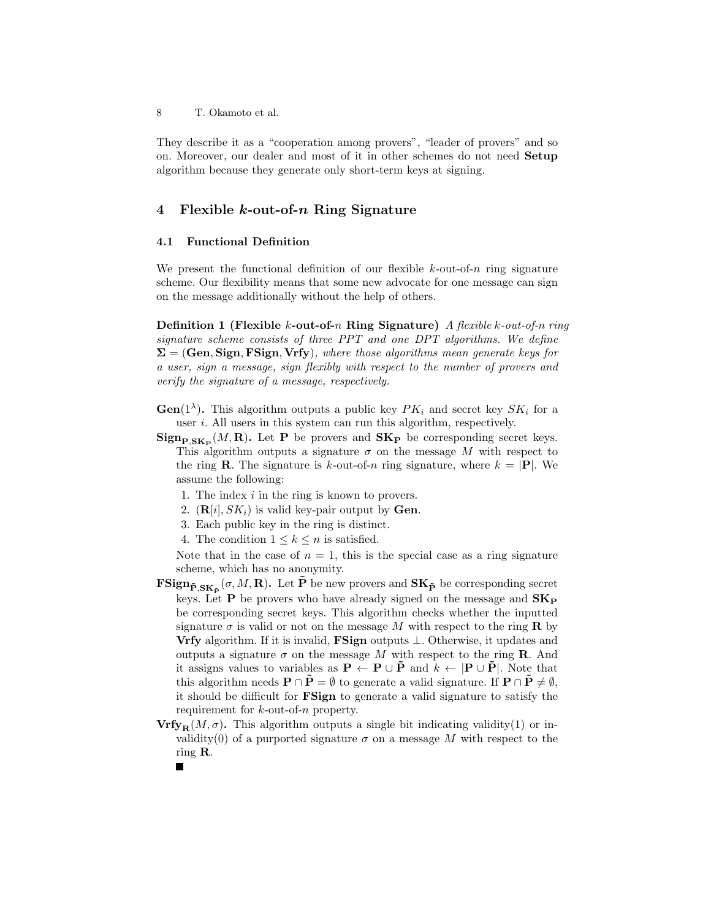They describe it as a "cooperation among provers", "leader of provers" and so on. Moreover, our dealer and most of it in other schemes do not need Setup algorithm because they generate only short-term keys at signing.

# 4 Flexible k-out-of-n Ring Signature

### 4.1 Functional Definition

We present the functional definition of our flexible  $k$ -out-of-n ring signature scheme. Our flexibility means that some new advocate for one message can sign on the message additionally without the help of others.

**Definition 1 (Flexible k-out-of-n Ring Signature)** A flexible k-out-of-n ring signature scheme consists of three PPT and one DPT algorithms. We define  $\Sigma = (Gen, Sign, FSign, Vrfy)$ , where those algorithms mean generate keys for a user, sign a message, sign flexibly with respect to the number of provers and verify the signature of a message, respectively.

- **Gen**(1<sup> $\lambda$ </sup>). This algorithm outputs a public key  $PK_i$  and secret key  $SK_i$  for a user i. All users in this system can run this algorithm, respectively.
- $\text{Sign}_{\textbf{P}, \textbf{SK}_{\textbf{P}}}(M, \textbf{R})$ . Let P be provers and  $\textbf{SK}_{\textbf{P}}$  be corresponding secret keys. This algorithm outputs a signature  $\sigma$  on the message M with respect to the ring **R**. The signature is k-out-of-n ring signature, where  $k = |P|$ . We assume the following:
	- 1. The index i in the ring is known to provers.
	- 2.  $(\mathbf{R}[i], SK_i)$  is valid key-pair output by **Gen**.
	- 3. Each public key in the ring is distinct.
	- 4. The condition  $1 \leq k \leq n$  is satisfied.

Note that in the case of  $n = 1$ , this is the special case as a ring signature scheme, which has no anonymity.

- $\mathbf{FSign}_{\tilde{\mathbf{P}}, \mathbf{SK}_{\tilde{\mathbf{P}}}}(\sigma, M, \mathbf{R})$ . Let  $\tilde{\mathbf{P}}$  be new provers and  $\mathbf{SK}_{\tilde{\mathbf{P}}}$  be corresponding secret keys. Let **P** be provers who have already signed on the message and  $SK_{P}$ be corresponding secret keys. This algorithm checks whether the inputted signature  $\sigma$  is valid or not on the message M with respect to the ring **R** by Vrfy algorithm. If it is invalid, FSign outputs ⊥. Otherwise, it updates and outputs a signature  $\sigma$  on the message M with respect to the ring **R**. And it assigns values to variables as  $P \leftarrow P \cup \tilde{P}$  and  $k \leftarrow |P \cup \tilde{P}|$ . Note that this algorithm needs  $\mathbf{P} \cap \mathbf{P} = \emptyset$  to generate a valid signature. If  $\mathbf{P} \cap \mathbf{P} \neq \emptyset$ , it should be difficult for FSign to generate a valid signature to satisfy the requirement for k-out-of-n property.
- $Vrfy_{\mathbf{R}}(M,\sigma)$ . This algorithm outputs a single bit indicating validity(1) or invalidity(0) of a purported signature  $\sigma$  on a message M with respect to the ring R.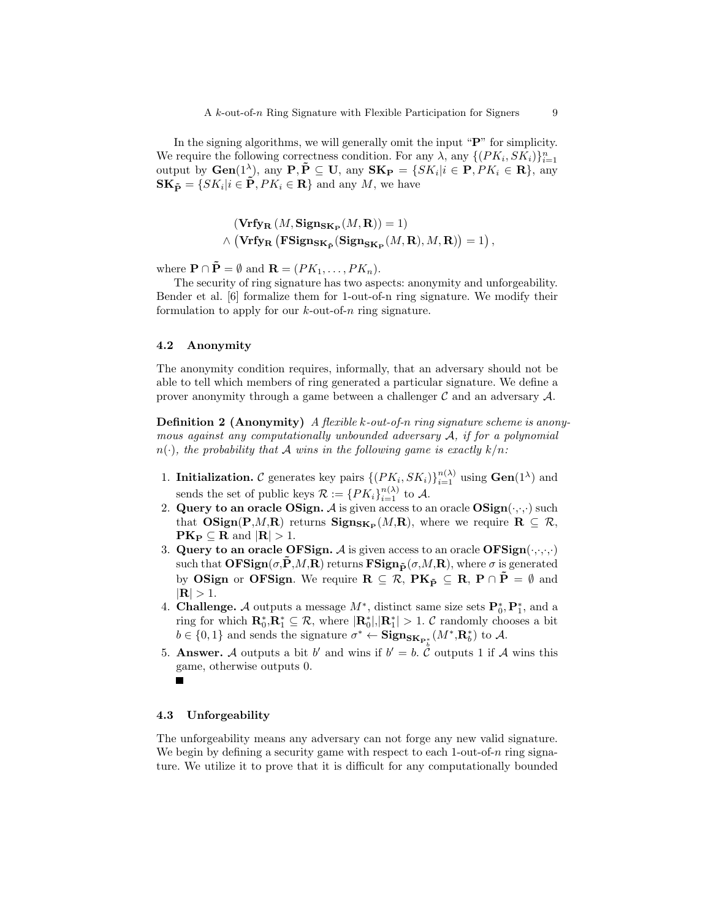In the signing algorithms, we will generally omit the input "P" for simplicity. We require the following correctness condition. For any  $\lambda$ , any  $\{ (PK_i, SK_i) \}_{i=1}^n$ output by  $Gen(1^{\lambda})$ , any  $P, \tilde{P} \subseteq U$ , any  $SK_{P} = \{SK_{i} | i \in P, PK_{i} \in R\}$ , any  $\mathbf{SK}_{\tilde{\mathbf{P}}} = \{ SK_i | i \in \tilde{\mathbf{P}}, PK_i \in \mathbf{R} \}$  and any M, we have

$$
(\mathbf{Vrfy}_{\mathbf{R}}(M, \mathbf{Sign}_{\mathbf{SK}_{\mathbf{P}}}(M, \mathbf{R})) = 1)
$$
  
  $\land$  (
$$
\mathbf{Vrfy}_{\mathbf{R}}(\mathbf{FSign}_{\mathbf{SK}_{\tilde{\mathbf{P}}}}(\mathbf{Sign}_{\mathbf{SK}_{\mathbf{P}}}(M, \mathbf{R}), M, \mathbf{R})) = 1),
$$

where  $\mathbf{P} \cap \tilde{\mathbf{P}} = \emptyset$  and  $\mathbf{R} = (PK_1, \dots, PK_n)$ .

The security of ring signature has two aspects: anonymity and unforgeability. Bender et al. [6] formalize them for 1-out-of-n ring signature. We modify their formulation to apply for our  $k$ -out-of-n ring signature.

#### 4.2 Anonymity

The anonymity condition requires, informally, that an adversary should not be able to tell which members of ring generated a particular signature. We define a prover anonymity through a game between a challenger  $\mathcal C$  and an adversary  $\mathcal A$ .

**Definition 2 (Anonymity)** A flexible k-out-of-n ring signature scheme is anonymous against any computationally unbounded adversary A, if for a polynomial  $n(\cdot)$ , the probability that A wins in the following game is exactly  $k/n$ :

- 1. Initialization. C generates key pairs  $\{(PK_i, SK_i)\}_{i=1}^{n(\lambda)}$  using  $Gen(1^{\lambda})$  and sends the set of public keys  $\mathcal{R} := \{PK_i\}_{i=1}^{n(\lambda)}$  to A.
- 2. Query to an oracle OSign. A is given access to an oracle  $OSign(\cdot,\cdot,\cdot)$  such that  $OSign(P,M,R)$  returns  $Sign_{SK_P}(M,R)$ , where we require  $R \subseteq \mathcal{R}$ ,  $PK_P \subseteq R$  and  $|R| > 1$ .
- 3. Query to an oracle OFSign. A is given access to an oracle  $\text{OFSign}(\cdot,\cdot,\cdot,\cdot)$ such that  $\mathbf{OFSign}(\sigma, \tilde{P}, M, R)$  returns  $\mathbf{FSign}_{\tilde{P}}(\sigma, M, R)$ , where  $\sigma$  is generated by OSign or OFSign. We require  $\mathbf{R} \subseteq \mathcal{R}$ ,  $\mathbf{P}\mathbf{K}_{\tilde{\mathbf{p}}} \subseteq \mathbf{R}$ ,  $\mathbf{P} \cap \tilde{\mathbf{P}} = \emptyset$  and  $|R| > 1.$
- 4. **Challenge.** A outputs a message  $M^*$ , distinct same size sets  $\mathbf{P}_0^*, \mathbf{P}_1^*$ , and a ring for which  $\mathbf{R}_0^*, \mathbf{R}_1^* \subseteq \mathcal{R}$ , where  $|\mathbf{R}_0^*|, |\mathbf{R}_1^*| > 1$ . C randomly chooses a bit  $b \in \{0,1\}$  and sends the signature  $\sigma^* \leftarrow \textbf{Sign}_{\textbf{SK}_{\textbf{P}_i^*}}(M^*, \textbf{R}_b^*)$  to A.
- 5. **Answer.** A outputs a bit b' and wins if  $b' = b$ . C outputs 1 if A wins this game, otherwise outputs 0.

#### 4.3 Unforgeability

The unforgeability means any adversary can not forge any new valid signature. We begin by defining a security game with respect to each  $1$ -out-of-n ring signature. We utilize it to prove that it is difficult for any computationally bounded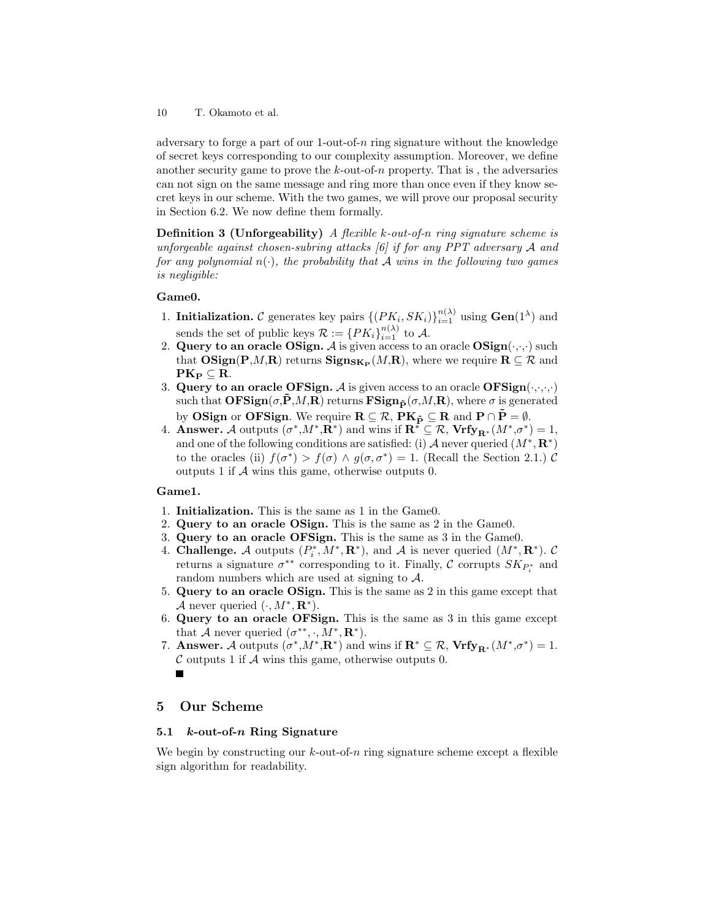adversary to forge a part of our 1-out-of-n ring signature without the knowledge of secret keys corresponding to our complexity assumption. Moreover, we define another security game to prove the  $k$ -out-of-n property. That is, the adversaries can not sign on the same message and ring more than once even if they know secret keys in our scheme. With the two games, we will prove our proposal security in Section 6.2. We now define them formally.

**Definition 3 (Unforgeability)** A flexible k-out-of-n ring signature scheme is unforgeable against chosen-subring attacks [6] if for any PPT adversary A and for any polynomial  $n(\cdot)$ , the probability that A wins in the following two games is negligible:

#### Game0.

- 1. Initialization. C generates key pairs  $\{(PK_i, SK_i)\}_{i=1}^{n(\lambda)}$  using  $Gen(1^{\lambda})$  and sends the set of public keys  $\mathcal{R} := \{PK_i\}_{i=1}^{n(\lambda)}$  to A.
- 2. Query to an oracle OSign. A is given access to an oracle  $OSign(\cdot,\cdot,\cdot)$  such that  $OSign(P,M,R)$  returns  $Sign_{SK_P}(M,R)$ , where we require  $R \subseteq \mathcal{R}$  and  $PK_{\text{P}} \subseteq R$ .
- 3. Query to an oracle OFSign. A is given access to an oracle  $\text{OFSign}(\cdot,\cdot,\cdot,\cdot)$ such that  $\mathbf{OFSign}(\sigma, \mathbf{P}, M, \mathbf{R})$  returns  $\mathbf{FSign}_{\tilde{\mathbf{P}}}(\sigma, M, \mathbf{R})$ , where  $\sigma$  is generated by OSign or OFSign. We require  $\mathbf{R} \subseteq \mathcal{R}$ ,  $\mathbf{P}\mathbf{K}_{\tilde{\mathbf{P}}} \subseteq \mathbf{R}$  and  $\mathbf{P} \cap \tilde{\mathbf{P}} = \emptyset$ .
- 4. **Answer.** A outputs  $(\sigma^*, M^*, \mathbf{R}^*)$  and wins if  $\mathbf{R}^* \subseteq \mathcal{R}$ ,  $\mathbf{Vrfy}_{\mathbf{R}^*}(M^*, \sigma^*) = 1$ , and one of the following conditions are satisfied: (i) A never queried  $(M^*, \mathbf{R}^*)$ to the oracles (ii)  $f(\sigma^*) > f(\sigma) \wedge g(\sigma, \sigma^*) = 1$ . (Recall the Section 2.1.) C outputs 1 if A wins this game, otherwise outputs 0.

# Game1.

- 1. Initialization. This is the same as 1 in the Game0.
- 2. Query to an oracle OSign. This is the same as 2 in the Game0.
- 3. Query to an oracle OFSign. This is the same as 3 in the Game0.
- 4. Challenge. A outputs  $(P_i^*, M^*, \mathbf{R}^*)$ , and A is never queried  $(M^*, \mathbf{R}^*)$ . C returns a signature  $\sigma^{**}$  corresponding to it. Finally,  $\mathcal{C}$  corrupts  $SK_{P_i^*}$  and random numbers which are used at signing to A.
- 5. Query to an oracle OSign. This is the same as 2 in this game except that A never queried  $(·, M^*, \mathbf{R}^*).$
- 6. Query to an oracle OFSign. This is the same as 3 in this game except that A never queried  $(\sigma^{**}, \cdot, M^*, \mathbf{R}^*).$
- 7. Answer. A outputs  $(\sigma^*, M^*, \mathbf{R}^*)$  and wins if  $\mathbf{R}^* \subseteq \mathcal{R}$ ,  $\mathbf{Vrfy}_{\mathbf{R}^*}(M^*, \sigma^*) = 1$ .  $\mathcal C$  outputs 1 if  $\mathcal A$  wins this game, otherwise outputs 0.

# 5 Our Scheme

#### 5.1 k-out-of-n Ring Signature

We begin by constructing our  $k$ -out-of-n ring signature scheme except a flexible sign algorithm for readability.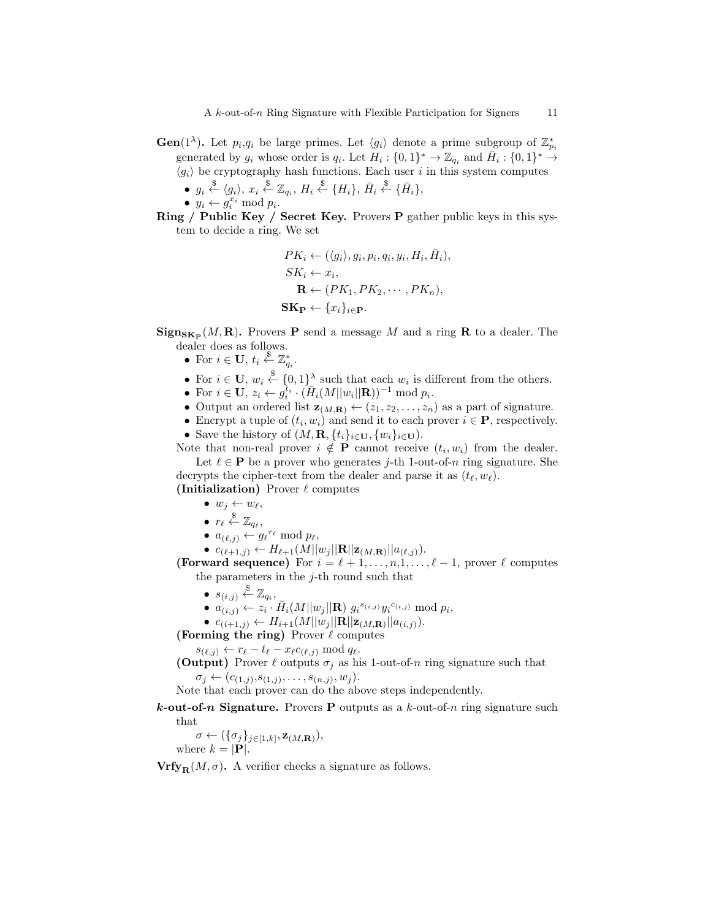- **Gen**(1<sup> $\lambda$ </sup>). Let  $p_i, q_i$  be large primes. Let  $\langle g_i \rangle$  denote a prime subgroup of  $\mathbb{Z}_{p_i}^*$ generated by  $g_i$  whose order is  $q_i$ . Let  $H_i: \{0,1\}^* \to \mathbb{Z}_{q_i}$  and  $\bar{H}_i: \{0,1\}^* \to$  $\langle g_i \rangle$  be cryptography hash functions. Each user i in this system computes
	- $g_i \stackrel{\$}{\leftarrow} \langle g_i \rangle, x_i \stackrel{\$}{\leftarrow} \mathbb{Z}_{q_i}, H_i \stackrel{\$}{\leftarrow} \{H_i\}, \bar{H}_i \stackrel{\$}{\leftarrow} \{\bar{H}_i\},$
	- $y_i \leftarrow g_i^{x_i} \mod p_i$ .
- Ring / Public Key / Secret Key. Provers P gather public keys in this system to decide a ring. We set

$$
PK_i \leftarrow (\langle g_i \rangle, g_i, p_i, q_i, y_i, H_i, \overline{H}_i),
$$
  
\n
$$
SK_i \leftarrow x_i,
$$
  
\n
$$
\mathbf{R} \leftarrow (PK_1, PK_2, \cdots, PK_n),
$$
  
\n
$$
\mathbf{SK}_{\mathbf{P}} \leftarrow \{x_i\}_{i \in \mathbf{P}}.
$$

 $\operatorname{Sign}_{\mathbf{SK}_{\mathbf{P}}}(M, \mathbf{R})$ . Provers **P** send a message M and a ring **R** to a dealer. The dealer does as follows.

- For  $i \in U$ ,  $t_i \overset{\$}{\leftarrow} \mathbb{Z}_{q_i}^*$ .
- For  $i \in U$ ,  $w_i \stackrel{\$}{\leftarrow} \{0,1\}^{\lambda}$  such that each  $w_i$  is different from the others.
- For  $i \in U$ ,  $z_i \leftarrow g_i^{t_i} \cdot (\bar{H}_i(M||w_i||\mathbf{R}))^{-1} \text{ mod } p_i$ .
- Output an ordered list  $z_{(M,R)} \leftarrow (z_1, z_2, \ldots, z_n)$  as a part of signature.
- Encrypt a tuple of  $(t_i, w_i)$  and send it to each prover  $i \in \mathbf{P}$ , respectively.
- Save the history of  $(M, \mathbf{R}, \{t_i\}_{i \in \mathbf{U}}, \{w_i\}_{i \in \mathbf{U}})$ .

Note that non-real prover  $i \notin P$  cannot receive  $(t_i, w_i)$  from the dealer. Let  $\ell \in \mathbf{P}$  be a prover who generates j-th 1-out-of-n ring signature. She decrypts the cipher-text from the dealer and parse it as  $(t_{\ell}, w_{\ell})$ .

(Initialization) Prover  $\ell$  computes

- $w_j \leftarrow w_\ell,$
- $\bullet\ \ r_{\ell} \stackrel{\$}{\leftarrow} \mathbb{Z}_{q_{\ell}},$
- $a_{(\ell,j)} \leftarrow g_{\ell}^{r_{\ell}} \mod p_{\ell},$
- $c_{(\ell+1,j)} \leftarrow H_{\ell+1}(M||w_j||\mathbf{R}||\mathbf{z}_{(M,\mathbf{R})}||a_{(\ell,j)}).$

(Forward sequence) For  $i = \ell + 1, \ldots, n, 1, \ldots, \ell - 1$ , prover  $\ell$  computes the parameters in the  $j$ -th round such that

- $s_{(i,j)} \overset{\$}{\leftarrow} \mathbb{Z}_{q_i},$
- $a_{(i,j)} \leftarrow z_i \cdot \bar{H}_i(M||w_j||\mathbf{R}) \ g_i^{s_{(i,j)}} y_i^{c_{(i,j)}} \bmod p_i,$
- $c_{(i+1,j)} \leftarrow H_{i+1}(M||w_j||\mathbf{R}||\mathbf{z}_{(M,\mathbf{R})}||a_{(i,j)}).$
- (Forming the ring) Prover  $\ell$  computes

 $s_{(\ell,j)} \leftarrow r_{\ell} - t_{\ell} - x_{\ell}c_{(\ell,j)} \bmod q_{\ell}.$ 

(Output) Prover  $\ell$  outputs  $\sigma_j$  as his 1-out-of-n ring signature such that  $\sigma_j \leftarrow (c_{(1,j)}, s_{(1,j)}, \ldots, s_{(n,j)}, w_j).$ 

Note that each prover can do the above steps independently.

**k-out-of-n Signature.** Provers **P** outputs as a  $k$ -out-of-n ring signature such that

 $\sigma \leftarrow (\{\sigma_j\}_{j\in[1,k]}, \mathbf{z}_{(M,\mathbf{R})}),$ where  $k = |\mathbf{P}|$ .

 $Vrfy_R(M, \sigma)$ . A verifier checks a signature as follows.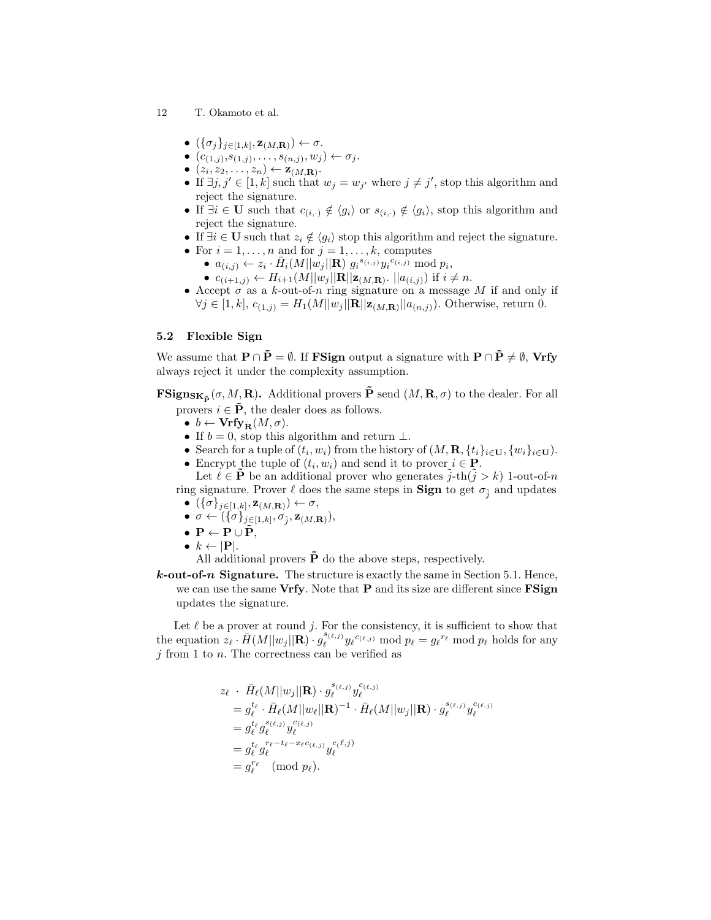- 12 T. Okamoto et al.
	- $\bullet \ (\{\sigma_j\}_{j\in[1,k]},\mathbf{z}_{(M,\mathbf{R})}) \leftarrow \sigma.$
	- $(c_{(1,j)}, s_{(1,j)}, \ldots, s_{(n,j)}, w_j) \leftarrow \sigma_j.$
	- $(z_i, z_2, \ldots, z_n) \leftarrow \mathbf{z}_{(M,\mathbf{R})}$ .
	- If  $\exists j, j' \in [1, k]$  such that  $w_j = w_{j'}$  where  $j \neq j'$ , stop this algorithm and reject the signature.
	- If  $\exists i \in \mathbf{U}$  such that  $c_{(i,\cdot)} \notin \langle g_i \rangle$  or  $s_{(i,\cdot)} \notin \langle g_i \rangle$ , stop this algorithm and reject the signature.
	- If  $\exists i \in \mathbf{U}$  such that  $z_i \notin \langle q_i \rangle$  stop this algorithm and reject the signature.
	- For  $i = 1, \ldots, n$  and for  $j = 1, \ldots, k$ , computes
		- $a_{(i,j)} \leftarrow z_i \cdot \bar{H}_i(M||w_j||\mathbf{R}) \ g_i^{(s_{(i,j)})} y_i^{(c_{(i,j)})} \bmod p_i,$
		- $c_{(i+1,j)} \leftarrow H_{i+1}(M||w_j||\mathbf{R}||\mathbf{z}_{(M,\mathbf{R})}$ .  $||a_{(i,j)})$  if  $i \neq n$ .
	- Accept  $\sigma$  as a k-out-of-n ring signature on a message M if and only if  $\forall j \in [1, k], c_{(1,j)} = H_1(M||w_j||\mathbf{R}||\mathbf{z}_{(M,\mathbf{R})}||a_{(n,j)}).$  Otherwise, return 0.

# 5.2 Flexible Sign

We assume that  $\mathbf{P} \cap \tilde{\mathbf{P}} = \emptyset$ . If **FSign** output a signature with  $\mathbf{P} \cap \tilde{\mathbf{P}} \neq \emptyset$ , Vrfy always reject it under the complexity assumption.

 $\mathbf{FSign}_{\mathbf{SK}_{\mathbf{P}}}(\sigma, M, \mathbf{R})$ . Additional provers  $\mathbf{\tilde{P}}$  send  $(M, \mathbf{R}, \sigma)$  to the dealer. For all provers  $i \in \tilde{P}$ , the dealer does as follows.

- $b \leftarrow \text{Vrfy}_{\text{R}}(M, \sigma)$ .
- If  $b = 0$ , stop this algorithm and return  $\perp$ .
- Search for a tuple of  $(t_i, w_i)$  from the history of  $(M, \mathbf{R}, \{t_i\}_{i \in \mathbf{U}}, \{w_i\}_{i \in \mathbf{U}})$ .
- Encrypt the tuple of  $(t_i, w_i)$  and send it to prover  $i \in \mathbf{P}$ .

Let  $\ell \in \mathbf{P}$  be an additional prover who generates  $j$ -th $(j > k)$  1-out-of-n ring signature. Prover  $\ell$  does the same steps in **Sign** to get  $\sigma_{\tilde{j}}$  and updates

- $\bullet$   $(\{\sigma\}_{j\in[1,k]}, \mathbf{z}_{(M,\mathbf{R})}) \leftarrow \sigma,$
- $\bullet \ \ \sigma \leftarrow (\{\sigma\}_{j\in[1,k]}, \sigma_{\tilde{j}}, \mathbf{z}_{(M,\mathbf{R})}),$
- $P \leftarrow P \cup \tilde{P}$ ,
- $k \leftarrow |P|$ .

All additional provers  $\tilde{\mathbf{P}}$  do the above steps, respectively.

 $k$ -out-of-n Signature. The structure is exactly the same in Section 5.1. Hence, we can use the same Vrfy. Note that P and its size are different since FSign updates the signature.

Let  $\ell$  be a prover at round j. For the consistency, it is sufficient to show that the equation  $z_{\ell} \cdot \bar{H}(M||w_j||\mathbf{R}) \cdot g_{\ell}^{s_{(\ell,j)}}$  $y_{\ell}^{s_{(\ell,j)}} y_{\ell} c_{(\ell,j)} \mod p_{\ell} = g_{\ell}^{r_{\ell}} \mod p_{\ell}$  holds for any  $j$  from 1 to  $n$ . The correctness can be verified as

$$
z_{\ell} \cdot \bar{H}_{\ell}(M||w_{j}||\mathbf{R}) \cdot g_{\ell}^{s_{(\ell,j)}} y_{\ell}^{c_{(\ell,j)}} = g_{\ell}^{t_{\ell}} \cdot \bar{H}_{\ell}(M||w_{\ell}||\mathbf{R})^{-1} \cdot \bar{H}_{\ell}(M||w_{j}||\mathbf{R}) \cdot g_{\ell}^{s_{(\ell,j)}} y_{\ell}^{c_{(\ell,j)}} = g_{\ell}^{t_{\ell}} g_{\ell}^{s_{(\ell,j)}} y_{\ell}^{c_{(\ell,j)}} = g_{\ell}^{t_{\ell}} g_{\ell}^{r_{\ell}-t_{\ell}-x_{\ell}c_{(\ell,j)}} y_{\ell}^{c_{(\ell,j)}} = g_{\ell}^{r_{\ell}} \pmod{p_{\ell}}.
$$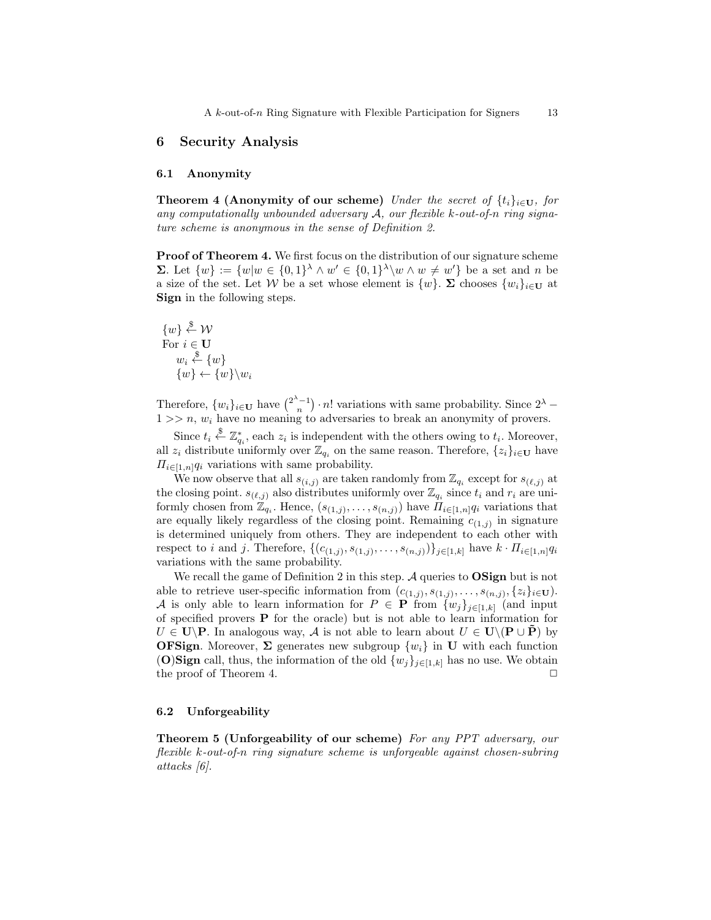# 6 Security Analysis

#### 6.1 Anonymity

**Theorem 4 (Anonymity of our scheme)** Under the secret of  $\{t_i\}_{i\in\mathbf{U}}$ , for any computationally unbounded adversary  $A$ , our flexible k-out-of-n ring signature scheme is anonymous in the sense of Definition 2.

Proof of Theorem 4. We first focus on the distribution of our signature scheme **Σ**. Let  $\{w\} := \{w | w \in \{0,1\}^{\lambda} \wedge w' \in \{0,1\}^{\lambda} \setminus w \wedge w \neq w'\}$  be a set and *n* be a size of the set. Let W be a set whose element is  $\{w\}$ .  $\Sigma$  chooses  $\{w_i\}_{i\in\mathbf{U}}$  at Sign in the following steps.

 $\{w\} \stackrel{\$}{\leftarrow} \mathcal{W}$ For  $i\in\mathbf{U}$  $w_i \overset{\$}{\leftarrow} \{w\}$  $\{w\} \leftarrow \{w\} \backslash w_i$ 

Therefore,  $\{w_i\}_{i\in\mathbf{U}}$  have  $\binom{2^{\lambda}-1}{n} \cdot n!$  variations with same probability. Since  $2^{\lambda}$  –  $1 >> n$ ,  $w_i$  have no meaning to adversaries to break an anonymity of provers.

Since  $t_i \stackrel{\$}{\leftarrow} \mathbb{Z}_{q_i}^*$ , each  $z_i$  is independent with the others owing to  $t_i$ . Moreover, all  $z_i$  distribute uniformly over  $\mathbb{Z}_{q_i}$  on the same reason. Therefore,  $\{z_i\}_{i\in\mathbf{U}}$  have  $\Pi_{i\in[1,n]}q_i$  variations with same probability.

We now observe that all  $s_{(i,j)}$  are taken randomly from  $\mathbb{Z}_{q_i}$  except for  $s_{(\ell,j)}$  at the closing point.  $s_{(\ell,j)}$  also distributes uniformly over  $\mathbb{Z}_{q_i}$  since  $t_i$  and  $r_i$  are uniformly chosen from  $\mathbb{Z}_{q_i}$ . Hence,  $(s_{(1,j)},\ldots,s_{(n,j)})$  have  $\Pi_{i\in [1,n]}q_i$  variations that are equally likely regardless of the closing point. Remaining  $c_{(1,j)}$  in signature is determined uniquely from others. They are independent to each other with respect to i and j. Therefore,  $\{(c_{(1,j)}, s_{(1,j)}, \ldots, s_{(n,j)})\}_{j \in [1,k]}$  have  $k \cdot \Pi_{i \in [1,n]} q_i$ variations with the same probability.

We recall the game of Definition 2 in this step.  $A$  queries to  $OSign$  but is not able to retrieve user-specific information from  $(c_{(1,j)}, s_{(1,j)}, \ldots, s_{(n,j)}, \{z_i\}_{i \in \mathbf{U}})$ . A is only able to learn information for  $P \in \mathbf{P}$  from  $\{w_j\}_{j\in[1,k]}$  (and input of specified provers P for the oracle) but is not able to learn information for  $U \in U\backslash P$ . In analogous way, A is not able to learn about  $U \in U\backslash (P\cup P)$  by **OFSign.** Moreover,  $\Sigma$  generates new subgroup  $\{w_i\}$  in **U** with each function (O)Sign call, thus, the information of the old  $\{w_j\}_{j\in[1,k]}$  has no use. We obtain the proof of Theorem 4.  $\Box$ 

#### 6.2 Unforgeability

Theorem 5 (Unforgeability of our scheme) For any PPT adversary, our flexible k-out-of-n ring signature scheme is unforgeable against chosen-subring attacks [6].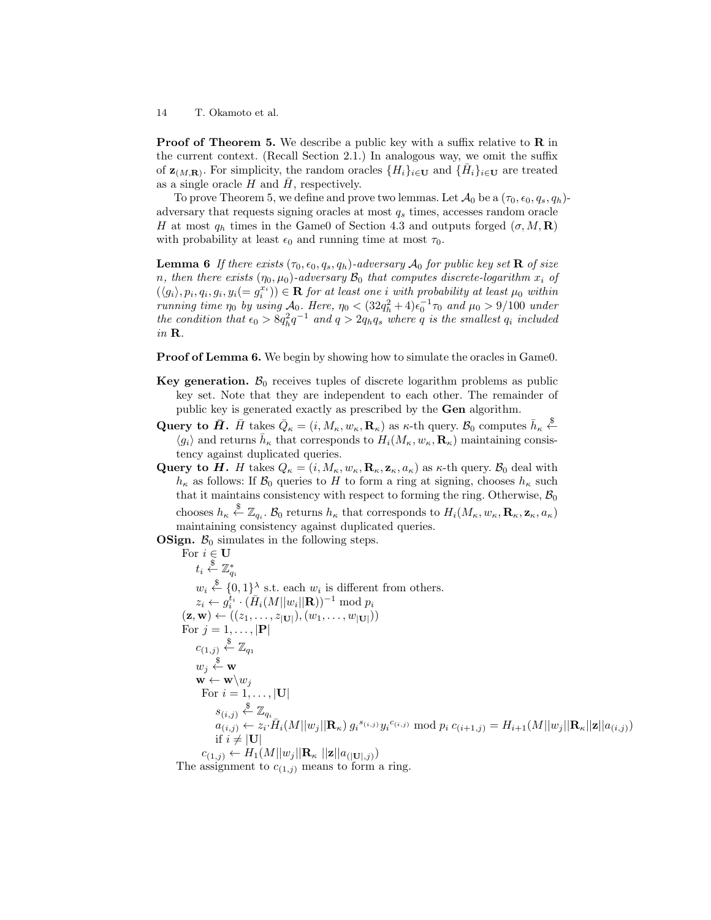**Proof of Theorem 5.** We describe a public key with a suffix relative to **R** in the current context. (Recall Section 2.1.) In analogous way, we omit the suffix of  $\mathbf{z}_{(M,\mathbf{R})}$ . For simplicity, the random oracles  $\{H_i\}_{i\in\mathbf{U}}$  and  $\{\bar{H}_i\}_{i\in\mathbf{U}}$  are treated as a single oracle  $H$  and  $H$ , respectively.

To prove Theorem 5, we define and prove two lemmas. Let  $\mathcal{A}_0$  be a  $(\tau_0, \epsilon_0, q_s, q_h)$ adversary that requests signing oracles at most  $q_s$  times, accesses random oracle H at most  $q_h$  times in the Game0 of Section 4.3 and outputs forged  $(\sigma, M, \mathbf{R})$ with probability at least  $\epsilon_0$  and running time at most  $\tau_0$ .

**Lemma 6** If there exists  $(\tau_0, \epsilon_0, q_s, q_h)$ -adversary  $\mathcal{A}_0$  for public key set **R** of size n, then there exists  $(\eta_0, \mu_0)$ -adversary  $\mathcal{B}_0$  that computes discrete-logarithm  $x_i$  of  $(\langle g_i \rangle, p_i, q_i, g_i, y_i (= g_i^{x_i})) \in \mathbf{R}$  for at least one i with probability at least  $\mu_0$  within running time  $\eta_0$  by using  $\mathcal{A}_0$ . Here,  $\eta_0 < (32q_h^2 + 4)\epsilon_0^{-1}\tau_0$  and  $\mu_0 > 9/100$  under the condition that  $\epsilon_0 > 8q_h^2 q^{-1}$  and  $q > 2q_hq_s$  where q is the smallest  $q_i$  included in R.

**Proof of Lemma 6.** We begin by showing how to simulate the oracles in Game0.

- Key generation.  $\mathcal{B}_0$  receives tuples of discrete logarithm problems as public key set. Note that they are independent to each other. The remainder of public key is generated exactly as prescribed by the Gen algorithm.
- Query to  $\bar{H}$ .  $\bar{H}$  takes  $\bar{Q}_{\kappa} = (i, M_{\kappa}, w_{\kappa}, \mathbf{R}_{\kappa})$  as  $\kappa$ -th query.  $\mathcal{B}_0$  computes  $\bar{h}_{\kappa} \stackrel{\$}{\leftarrow}$  $\langle g_i \rangle$  and returns  $\bar{h}_{\kappa}$  that corresponds to  $H_i(M_{\kappa}, w_{\kappa}, \mathbf{R}_{\kappa})$  maintaining consistency against duplicated queries.
- Query to H. H takes  $Q_{\kappa} = (i, M_{\kappa}, w_{\kappa}, \mathbf{R}_{\kappa}, \mathbf{z}_{\kappa}, a_{\kappa})$  as  $\kappa$ -th query.  $\mathcal{B}_0$  deal with  $h_{\kappa}$  as follows: If  $\mathcal{B}_0$  queries to H to form a ring at signing, chooses  $h_{\kappa}$  such that it maintains consistency with respect to forming the ring. Otherwise,  $\mathcal{B}_0$ chooses  $h_{\kappa} \stackrel{\$}{\leftarrow} \mathbb{Z}_{q_i}$ .  $\mathcal{B}_0$  returns  $h_{\kappa}$  that corresponds to  $H_i(M_{\kappa}, w_{\kappa}, \mathbf{R}_{\kappa}, \mathbf{z}_{\kappa}, a_{\kappa})$ maintaining consistency against duplicated queries.

**OSign.**  $B_0$  simulates in the following steps.

For  $i \in U$  $t_i \overset{\$}{\leftarrow} \mathbb{Z}^*_{q_i}$  $w_i \stackrel{\$}{\leftarrow} \{0,1\}^{\lambda}$  s.t. each  $w_i$  is different from others.  $z_i \leftarrow g_i^{t_i} \cdot (\bar{H}_i(M||w_i||\mathbf{R}))^{-1} \text{ mod } p_i$  $(\mathbf{z}, \mathbf{w}) \leftarrow ((z_1, \ldots, z_{|\mathbf{U}|}), (w_1, \ldots, w_{|\mathbf{U}|}))$ For  $j = 1, \ldots, |\mathbf{P}|$  $c_{(1,j)} \overset{\$}{\leftarrow} \mathbb{Z}_{q_1}$  $w_j \overset{\$}{\leftarrow} \mathbf{w}$  $\mathbf{w} \leftarrow \mathbf{w} \setminus w_j$ For  $i = 1, \ldots, |U|$  $s_{(i,j)} \overset{\$}{\leftarrow} \mathbb{Z}_{q_i}$  $a_{(i,j)}^{(i,j)} \leftarrow z_i \cdot \bar{H}_i(M||w_j||\mathbf{R}_{\kappa}) g_i^{(i,i,j)} y_i^{(i,i,j)} \bmod p_i \ c_{(i+1,j)} = H_{i+1}(M||w_j||\mathbf{R}_{\kappa}||\mathbf{z}||a_{(i,j)})$ if  $i \neq |\mathbf{U}|$  $c_{(1,j)} \leftarrow H_1(M||w_j||\mathbf{R}_{\kappa}||\mathbf{z}||a_{(|\mathbf{U}|,j)})$ 

The assignment to  $c_{(1,j)}$  means to form a ring.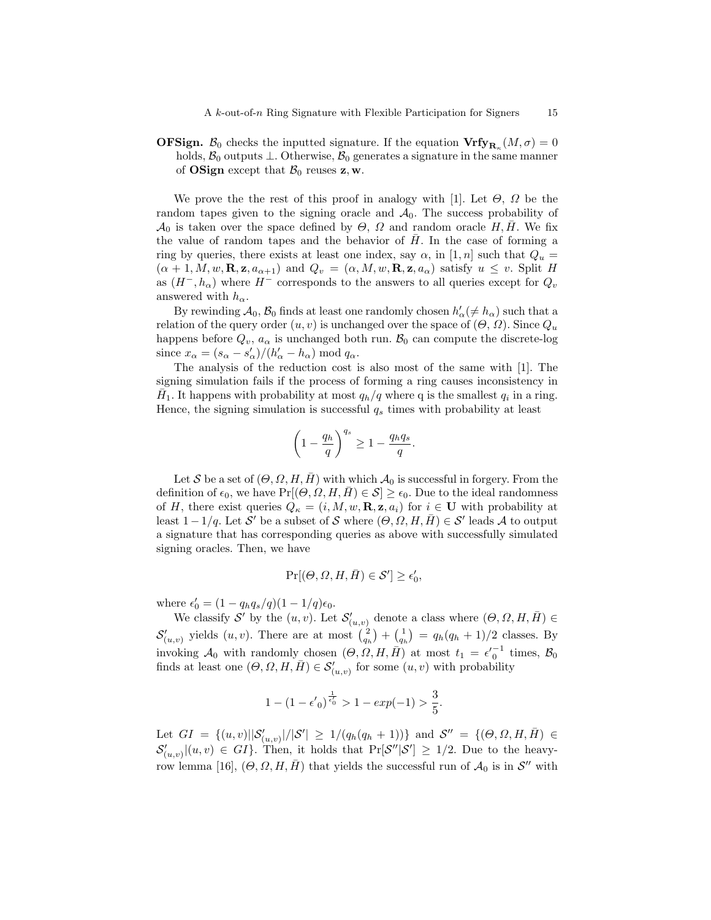**OFSign.**  $\mathcal{B}_0$  checks the inputted signature. If the equation  $\mathbf{Vrfy}_{\mathbf{R}_{\kappa}}(M,\sigma) = 0$ holds,  $\mathcal{B}_0$  outputs  $\perp$ . Otherwise,  $\mathcal{B}_0$  generates a signature in the same manner of **OSign** except that  $\mathcal{B}_0$  reuses **z**, **w**.

We prove the the rest of this proof in analogy with [1]. Let  $\Theta$ ,  $\Omega$  be the random tapes given to the signing oracle and  $A_0$ . The success probability of  $\mathcal{A}_0$  is taken over the space defined by  $\Theta$ ,  $\Omega$  and random oracle H, H. We fix the value of random tapes and the behavior of  $H$ . In the case of forming a ring by queries, there exists at least one index, say  $\alpha$ , in [1, n] such that  $Q_u =$  $(\alpha + 1, M, w, \mathbf{R}, \mathbf{z}, a_{\alpha+1})$  and  $Q_v = (\alpha, M, w, \mathbf{R}, \mathbf{z}, a_\alpha)$  satisfy  $u \leq v$ . Split H as  $(H^-, h_\alpha)$  where  $H^-$  corresponds to the answers to all queries except for  $Q_v$ answered with  $h_{\alpha}$ .

By rewinding  $\mathcal{A}_0$ ,  $\mathcal{B}_0$  finds at least one randomly chosen  $h'_\alpha(\neq h_\alpha)$  such that a relation of the query order  $(u, v)$  is unchanged over the space of  $(\Theta, \Omega)$ . Since  $Q_u$ happens before  $Q_v$ ,  $a_\alpha$  is unchanged both run.  $\mathcal{B}_0$  can compute the discrete-log since  $x_{\alpha} = (s_{\alpha} - s_{\alpha}')/(h_{\alpha}' - h_{\alpha}) \text{ mod } q_{\alpha}$ .

The analysis of the reduction cost is also most of the same with [1]. The signing simulation fails if the process of forming a ring causes inconsistency in  $\overline{H}_1$ . It happens with probability at most  $q_h/q$  where q is the smallest  $q_i$  in a ring. Hence, the signing simulation is successful  $q_s$  times with probability at least

$$
\left(1 - \frac{q_h}{q}\right)^{q_s} \ge 1 - \frac{q_h q_s}{q}.
$$

Let S be a set of  $(\Theta, \Omega, H, \overline{H})$  with which  $\mathcal{A}_0$  is successful in forgery. From the definition of  $\epsilon_0$ , we have  $Pr[(\Theta, \Omega, H, \overline{H}) \in \mathcal{S}] \geq \epsilon_0$ . Due to the ideal randomness of H, there exist queries  $Q_{\kappa} = (i, M, w, \mathbf{R}, \mathbf{z}, a_i)$  for  $i \in \mathbf{U}$  with probability at least  $1-1/q$ . Let S' be a subset of S where  $(\Theta, \Omega, H, \bar{H}) \in \mathcal{S}'$  leads A to output a signature that has corresponding queries as above with successfully simulated signing oracles. Then, we have

$$
\Pr[(\Theta,\varOmega,H,\bar{H})\in\mathcal{S}']\geq\epsilon'_0,
$$

where  $\epsilon'_0 = (1 - q_h q_s/q)(1 - 1/q)\epsilon_0$ .

We classify S' by the  $(u, v)$ . Let  $\mathcal{S}'_{(u, v)}$  denote a class where  $(\Theta, \Omega, H, \overline{H}) \in$  $\mathcal{S}'_{(u,v)}$  yields  $(u, v)$ . There are at most  $\binom{2}{q_h} + \binom{1}{q_h} = q_h(q_h + 1)/2$  classes. By invoking  $\mathcal{A}_0$  with randomly chosen  $(\Theta, \Omega, H, \bar{H})$  at most  $t_1 = \epsilon'_{0}^{-1}$  times,  $\mathcal{B}_0$ finds at least one  $(\Theta, \Omega, H, \overline{H}) \in \mathcal{S}'_{(u,v)}$  for some  $(u, v)$  with probability

$$
1 - (1 - \epsilon'_0)^{\frac{1}{\epsilon'_0}} > 1 - exp(-1) > \frac{3}{5}.
$$

Let  $GI = \{(u, v) | \mathcal{S}'_{(u, v)}|/|\mathcal{S}'| \ge 1/(q_h(q_h + 1))\}$  and  $\mathcal{S}'' = \{(\Theta, \Omega, H, \bar{H}) \in$  $\mathcal{S}'_{(u,v)}|(u,v) \in GI$ . Then, it holds that  $\Pr[\mathcal{S}''|\mathcal{S}'] \geq 1/2$ . Due to the heavyrow lemma [16],  $(\Theta, \Omega, H, \bar{H})$  that yields the successful run of  $\mathcal{A}_0$  is in  $\mathcal{S}''$  with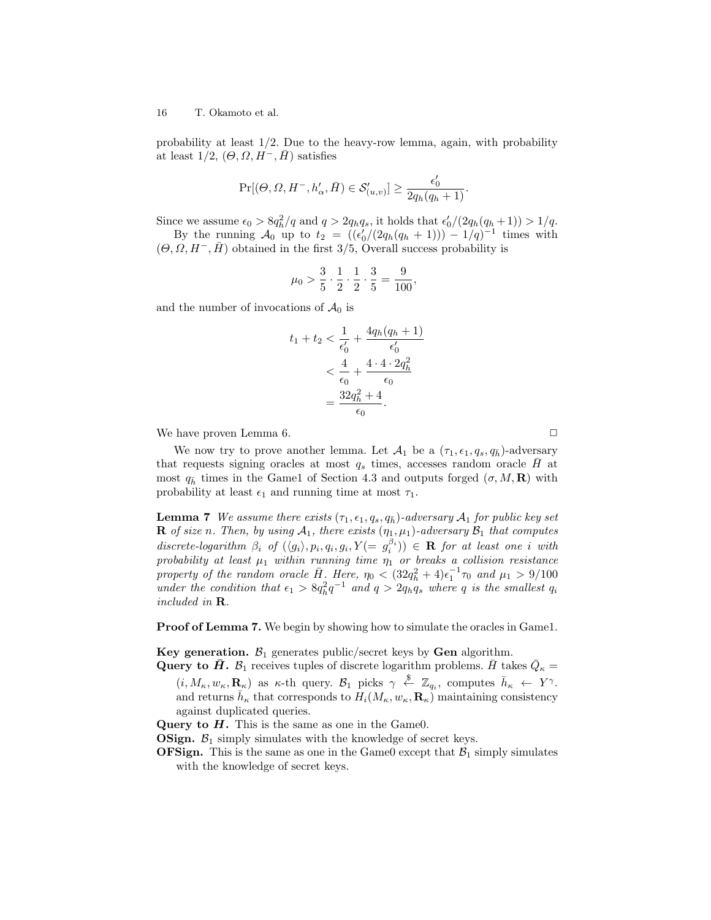probability at least  $1/2$ . Due to the heavy-row lemma, again, with probability at least  $1/2$ ,  $(\Theta, \Omega, H^-, H)$  satisfies

$$
\Pr[(\Theta,\Omega,H^{-},h'_{\alpha},\bar{H})\in\mathcal{S}'_{(u,v)}]\geq\frac{\epsilon'_{0}}{2q_{h}(q_{h}+1)}.
$$

Since we assume  $\epsilon_0 > 8q_h^2/q$  and  $q > 2q_hq_s$ , it holds that  $\epsilon'_0/(2q_h(q_h+1)) > 1/q$ .

By the running  $\mathcal{A}_0$  up to  $t_2 = ((\epsilon'_0/(2q_h(q_h + 1))) - 1/q)^{-1}$  times with  $(\Theta, \Omega, H^-, \bar{H})$  obtained in the first 3/5, Overall success probability is

$$
\mu_0 > \frac{3}{5} \cdot \frac{1}{2} \cdot \frac{1}{2} \cdot \frac{3}{5} = \frac{9}{100},
$$

and the number of invocations of  $\mathcal{A}_0$  is

$$
t_1 + t_2 < \frac{1}{\epsilon'_0} + \frac{4q_h(q_h + 1)}{\epsilon'_0}
$$
\n
$$
< \frac{4}{\epsilon_0} + \frac{4 \cdot 4 \cdot 2q_h^2}{\epsilon_0}
$$
\n
$$
= \frac{32q_h^2 + 4}{\epsilon_0}.
$$

We have proven Lemma 6.  $\Box$ 

We now try to prove another lemma. Let  $\mathcal{A}_1$  be a  $(\tau_1, \epsilon_1, q_s, q_{\bar{h}})$ -adversary that requests signing oracles at most  $q_s$  times, accesses random oracle  $H$  at most  $q_{\bar{h}}$  times in the Game1 of Section 4.3 and outputs forged  $(\sigma, M, \mathbf{R})$  with probability at least  $\epsilon_1$  and running time at most  $\tau_1$ .

**Lemma 7** We assume there exists  $(\tau_1, \epsilon_1, q_s, q_{\bar{h}})$ -adversary  $\mathcal{A}_1$  for public key set **R** of size n. Then, by using  $A_1$ , there exists  $(\eta_1, \mu_1)$ -adversary  $B_1$  that computes  $discrete-logarithm \ \beta_i \ of \ (\langle g_i \rangle, p_i, q_i, g_i, Y (= g_i^{\beta_i})) \in \mathbf{R}$  for at least one i with probability at least  $\mu_1$  within running time  $\eta_1$  or breaks a collision resistance property of the random oracle  $\bar{H}$ . Here,  $\eta_0 < (32q_h^2 + 4)\epsilon_1^{-1}\tau_0$  and  $\mu_1 > 9/100$ under the condition that  $\epsilon_1 > 8q_h^2 q^{-1}$  and  $q > 2q_hq_s$  where q is the smallest  $q_i$ included in R.

Proof of Lemma 7. We begin by showing how to simulate the oracles in Game1.

Key generation.  $\mathcal{B}_1$  generates public/secret keys by Gen algorithm.

**Query to**  $\bar{H}$ **.**  $\mathcal{B}_1$  receives tuples of discrete logarithm problems.  $\bar{H}$  takes  $\bar{Q}_\kappa =$  $(i, M_{\kappa}, w_{\kappa}, \mathbf{R}_{\kappa})$  as  $\kappa$ -th query.  $\mathcal{B}_1$  picks  $\gamma \stackrel{\$}{\leftarrow} \mathbb{Z}_{q_i}$ , computes  $\bar{h}_{\kappa} \leftarrow Y^{\gamma}$ . and returns  $\bar{h}_{\kappa}$  that corresponds to  $H_i(M_{\kappa}, w_{\kappa}, \mathbf{R}_{\kappa})$  maintaining consistency against duplicated queries.

Query to  $H$ . This is the same as one in the Game0.

**OSign.**  $\mathcal{B}_1$  simply simulates with the knowledge of secret keys.

**OFSign.** This is the same as one in the Game0 except that  $\mathcal{B}_1$  simply simulates with the knowledge of secret keys.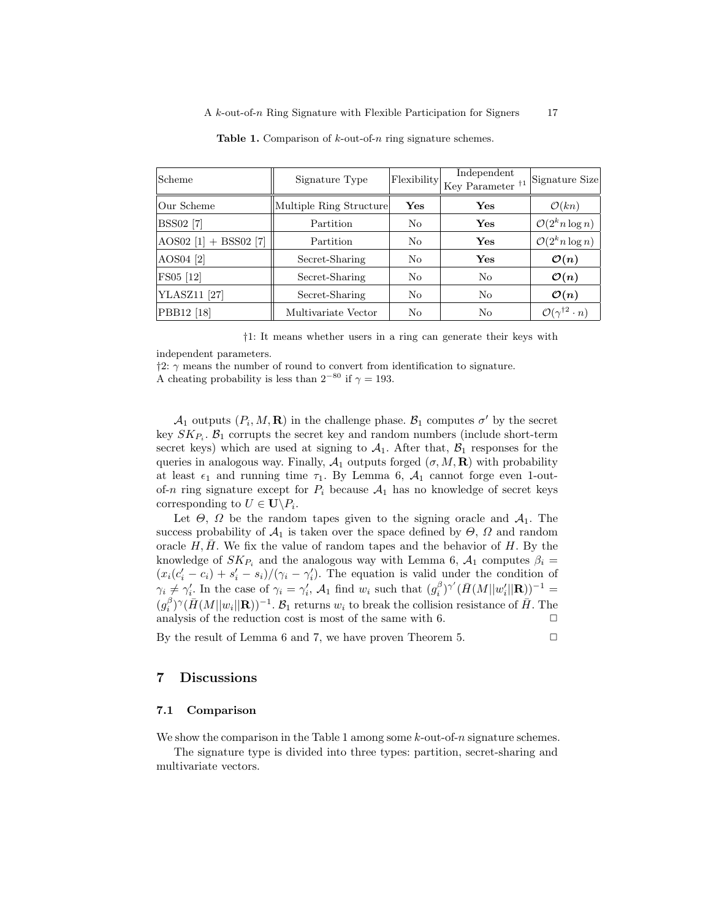| Scheme                    | Signature Type          | Flexibility    | Independent<br>Key Parameter $\frac{1}{1}$ | Signature Size                            |
|---------------------------|-------------------------|----------------|--------------------------------------------|-------------------------------------------|
| Our Scheme                | Multiple Ring Structure | Yes            | Yes                                        | $\mathcal{O}(kn)$                         |
| <b>BSS02</b> [7]          | Partition               | N <sub>0</sub> | Yes                                        | $\mathcal{O}(2^k n \log n)$               |
| AOS02 $[1]$ + BSS02 $[7]$ | Partition               | No             | Yes                                        | $\mathcal{O}(2^k n \log n)$               |
| AOS04 [2]                 | Secret-Sharing          | N <sub>0</sub> | Yes                                        | $\mathcal{O}(n)$                          |
| FS05 [12]                 | Secret-Sharing          | N <sub>0</sub> | N <sub>0</sub>                             | $\mathcal{O}(n)$                          |
| YLASZ11 <sup>[27]</sup>   | Secret-Sharing          | No             | No                                         | $\mathcal{O}(n)$                          |
| PBB12 [18]                | Multivariate Vector     | No             | No                                         | $\mathcal{O}(\gamma^{\dagger 2} \cdot n)$ |

**Table 1.** Comparison of  $k$ -out-of-n ring signature schemes.

†1: It means whether users in a ring can generate their keys with

independent parameters.

 $\ddagger$ 2:  $\gamma$  means the number of round to convert from identification to signature. A cheating probability is less than  $2^{-80}$  if  $\gamma = 193$ .

 $\mathcal{A}_1$  outputs  $(P_i, M, \mathbf{R})$  in the challenge phase.  $\mathcal{B}_1$  computes  $\sigma'$  by the secret key  $SK_{P_i}$ .  $\mathcal{B}_1$  corrupts the secret key and random numbers (include short-term secret keys) which are used at signing to  $A_1$ . After that,  $B_1$  responses for the queries in analogous way. Finally,  $\mathcal{A}_1$  outputs forged  $(\sigma, M, \mathbf{R})$  with probability at least  $\epsilon_1$  and running time  $\tau_1$ . By Lemma 6,  $\mathcal{A}_1$  cannot forge even 1-outof-n ring signature except for  $P_i$  because  $A_1$  has no knowledge of secret keys corresponding to  $U \in \mathbf{U} \backslash P_i$ .

Let  $\Theta$ ,  $\Omega$  be the random tapes given to the signing oracle and  $\mathcal{A}_1$ . The success probability of  $\mathcal{A}_1$  is taken over the space defined by  $\Theta$ ,  $\Omega$  and random oracle  $H, H$ . We fix the value of random tapes and the behavior of  $H$ . By the knowledge of  $SK_{P_i}$  and the analogous way with Lemma 6,  $A_1$  computes  $\beta_i =$  $(x_i(c'_i - c_i) + s'_i - s_i)/(\gamma_i - \gamma'_i)$ . The equation is valid under the condition of  $\gamma_i \neq \gamma'_i$ . In the case of  $\gamma_i = \gamma'_i$ ,  $\mathcal{A}_1$  find  $w_i$  such that  $(g_i^{\beta})^{\gamma'}(\bar{H}(M||w'_i||\mathbf{R}))^{-1}$  $(g_i^{\beta})^{\gamma}(\bar{H}(M||w_i||\mathbf{R}))^{-1}$ .  $\mathcal{B}_1$  returns  $w_i$  to break the collision resistance of  $\bar{H}$ . The analysis of the reduction cost is most of the same with 6.  $\Box$ 

By the result of Lemma 6 and 7, we have proven Theorem 5.  $\Box$ 

# 7 Discussions

#### 7.1 Comparison

We show the comparison in the Table 1 among some  $k$ -out-of-n signature schemes.

The signature type is divided into three types: partition, secret-sharing and multivariate vectors.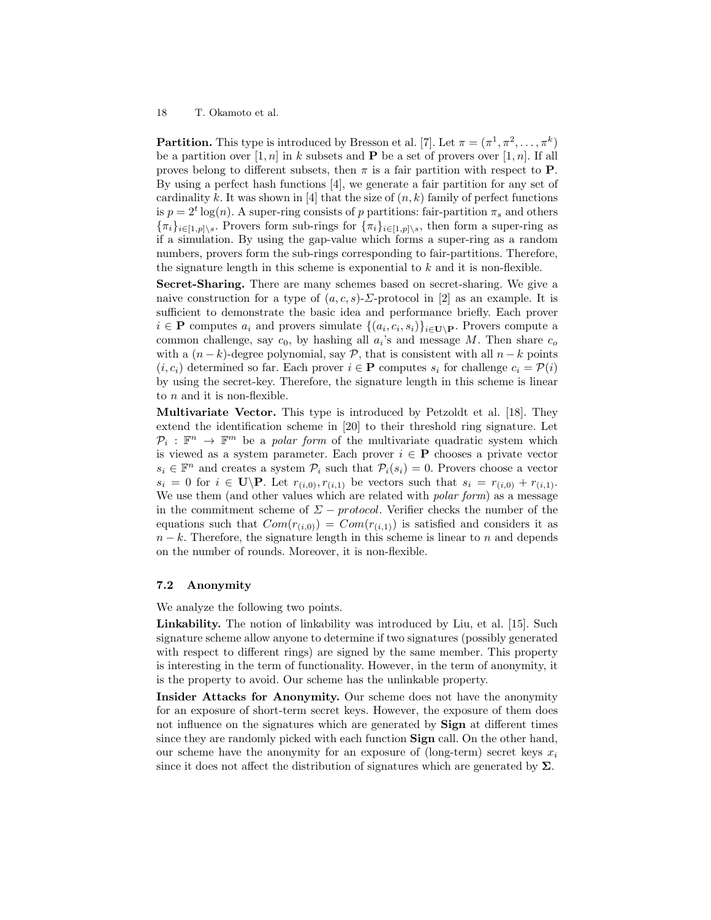**Partition.** This type is introduced by Bresson et al. [7]. Let  $\pi = (\pi^1, \pi^2, \dots, \pi^k)$ be a partition over [1, n] in k subsets and **P** be a set of provers over [1, n]. If all proves belong to different subsets, then  $\pi$  is a fair partition with respect to **P**. By using a perfect hash functions [4], we generate a fair partition for any set of cardinality k. It was shown in [4] that the size of  $(n, k)$  family of perfect functions is  $p = 2^t \log(n)$ . A super-ring consists of p partitions: fair-partition  $\pi_s$  and others  ${\{\pi_i\}_{i\in[1,p]\setminus s}}$ . Provers form sub-rings for  ${\{\pi_i\}_{i\in[1,p]\setminus s}}$ , then form a super-ring as if a simulation. By using the gap-value which forms a super-ring as a random numbers, provers form the sub-rings corresponding to fair-partitions. Therefore, the signature length in this scheme is exponential to  $k$  and it is non-flexible.

Secret-Sharing. There are many schemes based on secret-sharing. We give a naive construction for a type of  $(a, c, s)$ - $\Sigma$ -protocol in [2] as an example. It is sufficient to demonstrate the basic idea and performance briefly. Each prover  $i \in \mathbf{P}$  computes  $a_i$  and provers simulate  $\{(a_i, c_i, s_i)\}_{i \in \mathbf{U} \setminus \mathbf{P}}$ . Provers compute a common challenge, say  $c_0$ , by hashing all  $a_i$ 's and message M. Then share  $c_o$ with a  $(n - k)$ -degree polynomial, say P, that is consistent with all  $n - k$  points  $(i, c_i)$  determined so far. Each prover  $i \in \mathbf{P}$  computes  $s_i$  for challenge  $c_i = \mathcal{P}(i)$ by using the secret-key. Therefore, the signature length in this scheme is linear to  $n$  and it is non-flexible.

Multivariate Vector. This type is introduced by Petzoldt et al. [18]. They extend the identification scheme in [20] to their threshold ring signature. Let  $\mathcal{P}_i : \mathbb{F}^n \to \mathbb{F}^m$  be a *polar form* of the multivariate quadratic system which is viewed as a system parameter. Each prover  $i \in \mathbf{P}$  chooses a private vector  $s_i \in \mathbb{F}^n$  and creates a system  $\mathcal{P}_i$  such that  $\mathcal{P}_i(s_i) = 0$ . Provers choose a vector  $s_i = 0$  for  $i \in \mathbf{U} \backslash \mathbf{P}$ . Let  $r_{(i,0)}, r_{(i,1)}$  be vectors such that  $s_i = r_{(i,0)} + r_{(i,1)}$ . We use them (and other values which are related with *polar form*) as a message in the commitment scheme of  $\Sigma$  – protocol. Verifier checks the number of the equations such that  $Com(r_{(i,0)}) = Com(r_{(i,1)})$  is satisfied and considers it as  $n - k$ . Therefore, the signature length in this scheme is linear to n and depends on the number of rounds. Moreover, it is non-flexible.

#### 7.2 Anonymity

We analyze the following two points.

Linkability. The notion of linkability was introduced by Liu, et al. [15]. Such signature scheme allow anyone to determine if two signatures (possibly generated with respect to different rings) are signed by the same member. This property is interesting in the term of functionality. However, in the term of anonymity, it is the property to avoid. Our scheme has the unlinkable property.

Insider Attacks for Anonymity. Our scheme does not have the anonymity for an exposure of short-term secret keys. However, the exposure of them does not influence on the signatures which are generated by **Sign** at different times since they are randomly picked with each function **Sign** call. On the other hand, our scheme have the anonymity for an exposure of (long-term) secret keys  $x_i$ since it does not affect the distribution of signatures which are generated by  $\Sigma$ .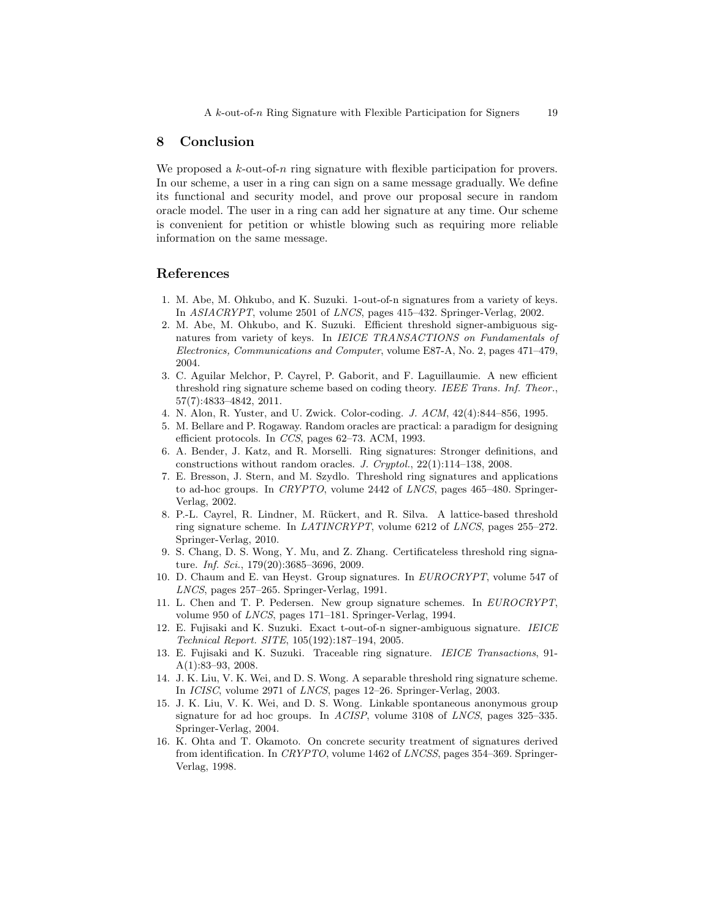# 8 Conclusion

We proposed a k-out-of-n ring signature with flexible participation for provers. In our scheme, a user in a ring can sign on a same message gradually. We define its functional and security model, and prove our proposal secure in random oracle model. The user in a ring can add her signature at any time. Our scheme is convenient for petition or whistle blowing such as requiring more reliable information on the same message.

# References

- 1. M. Abe, M. Ohkubo, and K. Suzuki. 1-out-of-n signatures from a variety of keys. In ASIACRYPT, volume 2501 of LNCS, pages 415–432. Springer-Verlag, 2002.
- 2. M. Abe, M. Ohkubo, and K. Suzuki. Efficient threshold signer-ambiguous signatures from variety of keys. In IEICE TRANSACTIONS on Fundamentals of Electronics, Communications and Computer, volume E87-A, No. 2, pages 471–479, 2004.
- 3. C. Aguilar Melchor, P. Cayrel, P. Gaborit, and F. Laguillaumie. A new efficient threshold ring signature scheme based on coding theory. IEEE Trans. Inf. Theor., 57(7):4833–4842, 2011.
- 4. N. Alon, R. Yuster, and U. Zwick. Color-coding. J. ACM, 42(4):844–856, 1995.
- 5. M. Bellare and P. Rogaway. Random oracles are practical: a paradigm for designing efficient protocols. In CCS, pages 62–73. ACM, 1993.
- 6. A. Bender, J. Katz, and R. Morselli. Ring signatures: Stronger definitions, and constructions without random oracles. J. Cryptol., 22(1):114–138, 2008.
- 7. E. Bresson, J. Stern, and M. Szydlo. Threshold ring signatures and applications to ad-hoc groups. In CRYPTO, volume 2442 of LNCS, pages 465–480. Springer-Verlag, 2002.
- 8. P.-L. Cayrel, R. Lindner, M. R¨uckert, and R. Silva. A lattice-based threshold ring signature scheme. In LATINCRYPT, volume 6212 of LNCS, pages 255–272. Springer-Verlag, 2010.
- 9. S. Chang, D. S. Wong, Y. Mu, and Z. Zhang. Certificateless threshold ring signature. Inf. Sci., 179(20):3685–3696, 2009.
- 10. D. Chaum and E. van Heyst. Group signatures. In EUROCRYPT, volume 547 of LNCS, pages 257–265. Springer-Verlag, 1991.
- 11. L. Chen and T. P. Pedersen. New group signature schemes. In EUROCRYPT, volume 950 of LNCS, pages 171–181. Springer-Verlag, 1994.
- 12. E. Fujisaki and K. Suzuki. Exact t-out-of-n signer-ambiguous signature. IEICE Technical Report. SITE, 105(192):187–194, 2005.
- 13. E. Fujisaki and K. Suzuki. Traceable ring signature. IEICE Transactions, 91- A(1):83–93, 2008.
- 14. J. K. Liu, V. K. Wei, and D. S. Wong. A separable threshold ring signature scheme. In ICISC, volume 2971 of LNCS, pages 12–26. Springer-Verlag, 2003.
- 15. J. K. Liu, V. K. Wei, and D. S. Wong. Linkable spontaneous anonymous group signature for ad hoc groups. In ACISP, volume 3108 of LNCS, pages 325–335. Springer-Verlag, 2004.
- 16. K. Ohta and T. Okamoto. On concrete security treatment of signatures derived from identification. In CRYPTO, volume 1462 of LNCSS, pages 354–369. Springer-Verlag, 1998.